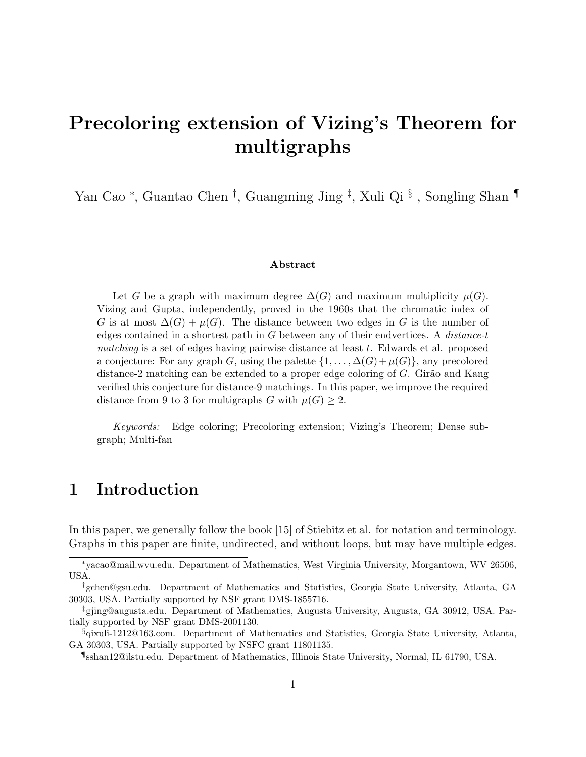# Precoloring extension of Vizing's Theorem for multigraphs

Yan Cao <sup>∗</sup>, Guantao Chen <sup>†</sup>, Guangming Jing <sup>‡</sup>, Xuli Qi §, Songling Shan ¶

#### Abstract

Let G be a graph with maximum degree  $\Delta(G)$  and maximum multiplicity  $\mu(G)$ . Vizing and Gupta, independently, proved in the 1960s that the chromatic index of G is at most  $\Delta(G) + \mu(G)$ . The distance between two edges in G is the number of edges contained in a shortest path in  $G$  between any of their endvertices. A distance-t matching is a set of edges having pairwise distance at least  $t$ . Edwards et al. proposed a conjecture: For any graph G, using the palette  $\{1, \ldots, \Delta(G) + \mu(G)\}\)$ , any precolored distance-2 matching can be extended to a proper edge coloring of  $G$ . Girão and Kang verified this conjecture for distance-9 matchings. In this paper, we improve the required distance from 9 to 3 for multigraphs G with  $\mu(G) \geq 2$ .

Keywords: Edge coloring; Precoloring extension; Vizing's Theorem; Dense subgraph; Multi-fan

### 1 Introduction

In this paper, we generally follow the book [15] of Stiebitz et al. for notation and terminology. Graphs in this paper are finite, undirected, and without loops, but may have multiple edges.

<sup>∗</sup>yacao@mail.wvu.edu. Department of Mathematics, West Virginia University, Morgantown, WV 26506, USA.

<sup>†</sup>gchen@gsu.edu. Department of Mathematics and Statistics, Georgia State University, Atlanta, GA 30303, USA. Partially supported by NSF grant DMS-1855716.

<sup>‡</sup>gjing@augusta.edu. Department of Mathematics, Augusta University, Augusta, GA 30912, USA. Partially supported by NSF grant DMS-2001130.

<sup>§</sup>qixuli-1212@163.com. Department of Mathematics and Statistics, Georgia State University, Atlanta, GA 30303, USA. Partially supported by NSFC grant 11801135.

<sup>¶</sup>sshan12@ilstu.edu. Department of Mathematics, Illinois State University, Normal, IL 61790, USA.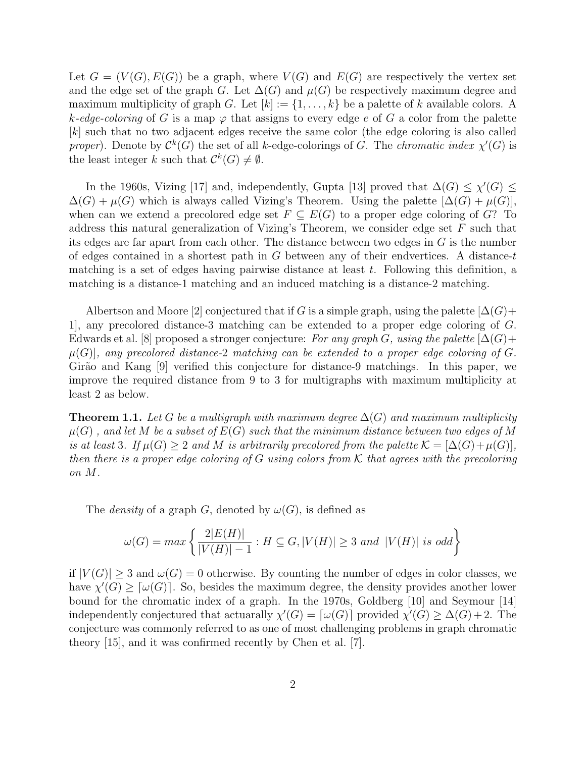Let  $G = (V(G), E(G))$  be a graph, where  $V(G)$  and  $E(G)$  are respectively the vertex set and the edge set of the graph G. Let  $\Delta(G)$  and  $\mu(G)$  be respectively maximum degree and maximum multiplicity of graph G. Let  $[k] := \{1, \ldots, k\}$  be a palette of k available colors. A k-edge-coloring of G is a map  $\varphi$  that assigns to every edge e of G a color from the palette [k] such that no two adjacent edges receive the same color (the edge coloring is also called proper). Denote by  $\mathcal{C}^k(G)$  the set of all k-edge-colorings of G. The chromatic index  $\chi'(G)$  is the least integer k such that  $\mathcal{C}^k(G) \neq \emptyset$ .

In the 1960s, Vizing [17] and, independently, Gupta [13] proved that  $\Delta(G) \leq \chi'(G) \leq$  $\Delta(G) + \mu(G)$  which is always called Vizing's Theorem. Using the palette  $[\Delta(G) + \mu(G)],$ when can we extend a precolored edge set  $F \subseteq E(G)$  to a proper edge coloring of G? To address this natural generalization of Vizing's Theorem, we consider edge set F such that its edges are far apart from each other. The distance between two edges in G is the number of edges contained in a shortest path in  $G$  between any of their endvertices. A distance-t matching is a set of edges having pairwise distance at least  $t$ . Following this definition, a matching is a distance-1 matching and an induced matching is a distance-2 matching.

Albertson and Moore [2] conjectured that if G is a simple graph, using the palette  $[\Delta(G) +$ 1], any precolored distance-3 matching can be extended to a proper edge coloring of G. Edwards et al. [8] proposed a stronger conjecture: For any graph G, using the palette  $[\Delta(G) +$  $\mu(G)$ , any precolored distance-2 matching can be extended to a proper edge coloring of G. Girão and Kang [9] verified this conjecture for distance-9 matchings. In this paper, we improve the required distance from 9 to 3 for multigraphs with maximum multiplicity at least 2 as below.

**Theorem 1.1.** Let G be a multigraph with maximum degree  $\Delta(G)$  and maximum multiplicity  $\mu(G)$ , and let M be a subset of  $E(G)$  such that the minimum distance between two edges of M is at least 3. If  $\mu(G) \geq 2$  and M is arbitrarily precolored from the palette  $\mathcal{K} = [\Delta(G) + \mu(G)],$ then there is a proper edge coloring of G using colors from K that agrees with the precoloring on M.

The *density* of a graph G, denoted by  $\omega(G)$ , is defined as

$$
\omega(G) = \max\left\{ \frac{2|E(H)|}{|V(H)| - 1} : H \subseteq G, |V(H)| \ge 3 \text{ and } |V(H)| \text{ is odd} \right\}
$$

if  $|V(G)| \geq 3$  and  $\omega(G) = 0$  otherwise. By counting the number of edges in color classes, we have  $\chi'(G) \geq [\omega(G)]$ . So, besides the maximum degree, the density provides another lower bound for the chromatic index of a graph. In the 1970s, Goldberg [10] and Seymour [14] independently conjectured that actuarally  $\chi'(G) = [\omega(G)]$  provided  $\chi'(G) \geq \Delta(G) + 2$ . The conjecture was commonly referred to as one of most challenging problems in graph chromatic theory [15], and it was confirmed recently by Chen et al. [7].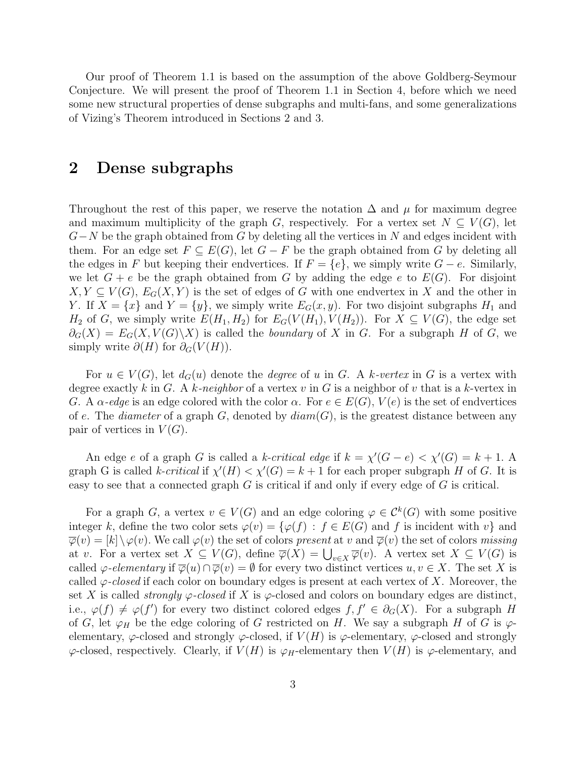Our proof of Theorem 1.1 is based on the assumption of the above Goldberg-Seymour Conjecture. We will present the proof of Theorem 1.1 in Section 4, before which we need some new structural properties of dense subgraphs and multi-fans, and some generalizations of Vizing's Theorem introduced in Sections 2 and 3.

#### 2 Dense subgraphs

Throughout the rest of this paper, we reserve the notation  $\Delta$  and  $\mu$  for maximum degree and maximum multiplicity of the graph G, respectively. For a vertex set  $N \subseteq V(G)$ , let  $G-N$  be the graph obtained from G by deleting all the vertices in N and edges incident with them. For an edge set  $F \subseteq E(G)$ , let  $G - F$  be the graph obtained from G by deleting all the edges in F but keeping their endvertices. If  $F = \{e\}$ , we simply write  $G - e$ . Similarly, we let  $G + e$  be the graph obtained from G by adding the edge e to  $E(G)$ . For disjoint  $X, Y \subseteq V(G)$ ,  $E_G(X, Y)$  is the set of edges of G with one endvertex in X and the other in Y. If  $X = \{x\}$  and  $Y = \{y\}$ , we simply write  $E_G(x, y)$ . For two disjoint subgraphs  $H_1$  and  $H_2$  of G, we simply write  $E(H_1, H_2)$  for  $E_G(V(H_1), V(H_2))$ . For  $X \subseteq V(G)$ , the edge set  $\partial_G(X) = E_G(X, V(G) \backslash X)$  is called the *boundary* of X in G. For a subgraph H of G, we simply write  $\partial(H)$  for  $\partial_G(V(H))$ .

For  $u \in V(G)$ , let  $d_G(u)$  denote the *degree* of u in G. A k-vertex in G is a vertex with degree exactly k in G. A k-neighbor of a vertex v in G is a neighbor of v that is a k-vertex in G. A  $\alpha$ -edge is an edge colored with the color  $\alpha$ . For  $e \in E(G)$ ,  $V(e)$  is the set of endvertices of e. The *diameter* of a graph G, denoted by  $diam(G)$ , is the greatest distance between any pair of vertices in  $V(G)$ .

An edge e of a graph G is called a k-critical edge if  $k = \chi'(G - e) < \chi'(G) = k + 1$ . A graph G is called k-critical if  $\chi'(H) < \chi'(G) = k + 1$  for each proper subgraph H of G. It is easy to see that a connected graph  $G$  is critical if and only if every edge of  $G$  is critical.

For a graph G, a vertex  $v \in V(G)$  and an edge coloring  $\varphi \in C^k(G)$  with some positive integer k, define the two color sets  $\varphi(v) = {\varphi(f) : f \in E(G)}$  and f is incident with v and  $\overline{\varphi}(v) = [k] \setminus \varphi(v)$ . We call  $\varphi(v)$  the set of colors present at v and  $\overline{\varphi}(v)$  the set of colors missing at v. For a vertex set  $X \subseteq V(G)$ , define  $\overline{\varphi}(X) = \bigcup_{v \in X} \overline{\varphi}(v)$ . A vertex set  $X \subseteq V(G)$  is called  $\varphi$ -elementary if  $\overline{\varphi}(u) \cap \overline{\varphi}(v) = \emptyset$  for every two distinct vertices  $u, v \in X$ . The set X is called  $\varphi$ -closed if each color on boundary edges is present at each vertex of X. Moreover, the set X is called *strongly*  $\varphi$ -closed if X is  $\varphi$ -closed and colors on boundary edges are distinct, i.e.,  $\varphi(f) \neq \varphi(f')$  for every two distinct colored edges  $f, f' \in \partial_G(X)$ . For a subgraph H of G, let  $\varphi_H$  be the edge coloring of G restricted on H. We say a subgraph H of G is  $\varphi$ elementary,  $\varphi$ -closed and strongly  $\varphi$ -closed, if  $V(H)$  is  $\varphi$ -elementary,  $\varphi$ -closed and strongly  $\varphi$ -closed, respectively. Clearly, if  $V(H)$  is  $\varphi_H$ -elementary then  $V(H)$  is  $\varphi$ -elementary, and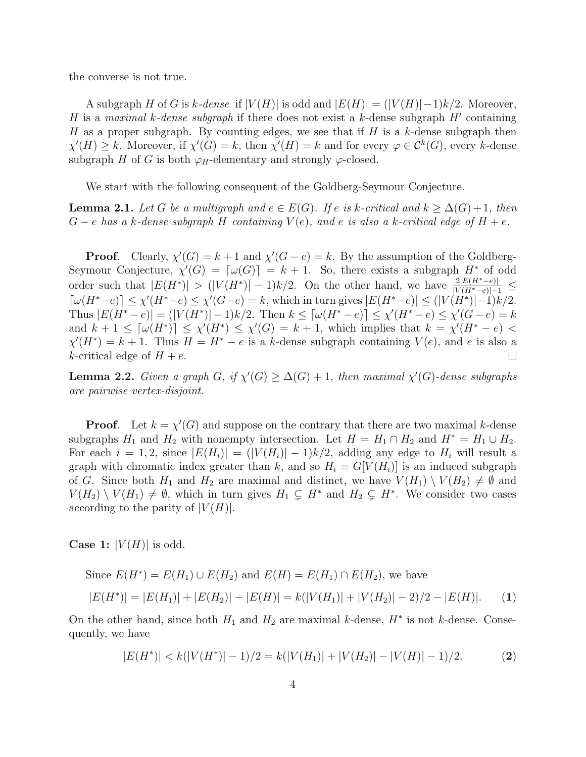the converse is not true.

A subgraph H of G is k-dense if  $|V(H)|$  is odd and  $|E(H)| = (|V(H)|-1)k/2$ . Moreover, H is a maximal k-dense subgraph if there does not exist a k-dense subgraph  $H'$  containing H as a proper subgraph. By counting edges, we see that if H is a k-dense subgraph then  $\chi'(H) \geq k$ . Moreover, if  $\chi'(G) = k$ , then  $\chi'(H) = k$  and for every  $\varphi \in C^k(G)$ , every k-dense subgraph H of G is both  $\varphi_H$ -elementary and strongly  $\varphi$ -closed.

We start with the following consequent of the Goldberg-Seymour Conjecture.

**Lemma 2.1.** Let G be a multigraph and  $e \in E(G)$ . If e is k-critical and  $k \geq \Delta(G)+1$ , then  $G - e$  has a k-dense subgraph H containing  $V(e)$ , and e is also a k-critical edge of  $H + e$ .

**Proof.** Clearly,  $\chi'(G) = k + 1$  and  $\chi'(G - e) = k$ . By the assumption of the Goldberg-Seymour Conjecture,  $\chi'(G) = [\omega(G)] = k + 1$ . So, there exists a subgraph  $H^*$  of odd order such that  $|E(H^*)| > (|V(H^*)|-1)k/2$ . On the other hand, we have  $\frac{2|E(H^*-e)|}{|V(H^*-e)|-1} \le$  $\lceil \omega(H^*-e) \rceil \leq \chi'(H^*-e) \leq \chi'(G-e) = k$ , which in turn gives  $|E(H^*-e)| \leq (|V(H^*)|-1)k/2$ . Thus  $|E(H^* - e)| = (|V(H^*)| - 1)k/2$ . Then  $k \leq \lceil \omega(H^* - e) \rceil \leq \chi'(H^* - e) \leq \chi'(G - e) = k$ and  $k+1 \leq \lceil \omega(H^*) \rceil \leq \chi'(H^*) \leq \chi'(G) = k+1$ , which implies that  $k = \chi'(H^* - e)$  $\chi'(H^*) = k+1$ . Thus  $H = H^* - e$  is a k-dense subgraph containing  $V(e)$ , and e is also a k-critical edge of  $H + e$ .  $\Box$ 

**Lemma 2.2.** Given a graph G, if  $\chi'(G) \geq \Delta(G) + 1$ , then maximal  $\chi'(G)$ -dense subgraphs are pairwise vertex-disjoint.

**Proof.** Let  $k = \chi'(G)$  and suppose on the contrary that there are two maximal k-dense subgraphs  $H_1$  and  $H_2$  with nonempty intersection. Let  $H = H_1 \cap H_2$  and  $H^* = H_1 \cup H_2$ . For each  $i = 1, 2$ , since  $|E(H_i)| = (|V(H_i)| - 1)k/2$ , adding any edge to  $H_i$  will result a graph with chromatic index greater than k, and so  $H_i = G[V(H_i)]$  is an induced subgraph of G. Since both  $H_1$  and  $H_2$  are maximal and distinct, we have  $V(H_1) \setminus V(H_2) \neq \emptyset$  and  $V(H_2) \setminus V(H_1) \neq \emptyset$ , which in turn gives  $H_1 \subsetneq H^*$  and  $H_2 \subsetneq H^*$ . We consider two cases according to the parity of  $|V(H)|$ .

**Case 1:**  $|V(H)|$  is odd.

Since 
$$
E(H^*) = E(H_1) \cup E(H_2)
$$
 and  $E(H) = E(H_1) \cap E(H_2)$ , we have  
\n
$$
|E(H^*)| = |E(H_1)| + |E(H_2)| - |E(H)| = k(|V(H_1)| + |V(H_2)| - 2)/2 - |E(H)|.
$$
 (1)

On the other hand, since both  $H_1$  and  $H_2$  are maximal k-dense,  $H^*$  is not k-dense. Consequently, we have

$$
|E(H^*)| < k(|V(H^*)|-1)/2 = k(|V(H_1)| + |V(H_2)| - |V(H)| - 1)/2. \tag{2}
$$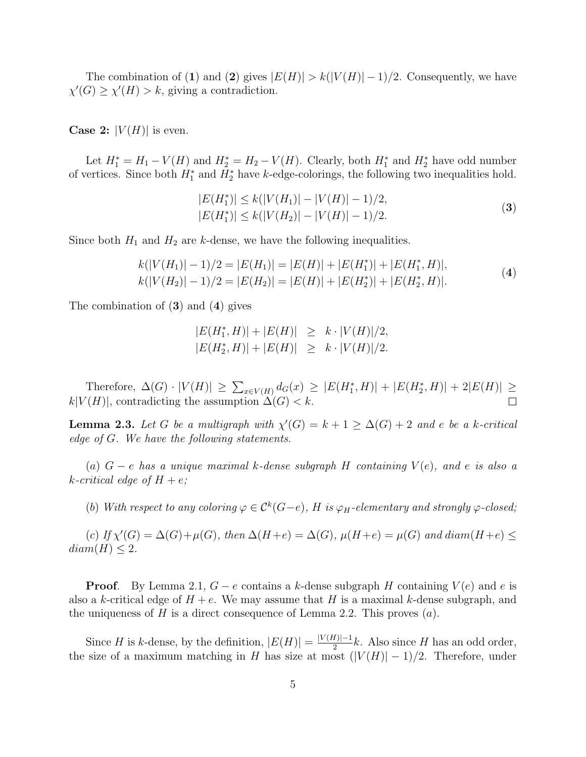The combination of (1) and (2) gives  $|E(H)| > k(|V(H)| - 1)/2$ . Consequently, we have  $\chi'(G) \geq \chi'(H) > k$ , giving a contradiction.

**Case 2:**  $|V(H)|$  is even.

Let  $H_1^* = H_1 - V(H)$  and  $H_2^* = H_2 - V(H)$ . Clearly, both  $H_1^*$  and  $H_2^*$  have odd number of vertices. Since both  $H_1^*$  and  $H_2^*$  have k-edge-colorings, the following two inequalities hold.

$$
|E(H_1^*)| \le k(|V(H_1)| - |V(H)| - 1)/2,|E(H_1^*)| \le k(|V(H_2)| - |V(H)| - 1)/2.
$$
\n(3)

Since both  $H_1$  and  $H_2$  are k-dense, we have the following inequalities.

$$
k(|V(H_1)| - 1)/2 = |E(H_1)| = |E(H)| + |E(H_1^*)| + |E(H_1^*, H)|,
$$
  
\n
$$
k(|V(H_2)| - 1)/2 = |E(H_2)| = |E(H)| + |E(H_2^*)| + |E(H_2^*, H)|.
$$
\n(4)

The combination of  $(3)$  and  $(4)$  gives

$$
|E(H_1^*, H)| + |E(H)| \ge k \cdot |V(H)|/2,
$$
  

$$
|E(H_2^*, H)| + |E(H)| \ge k \cdot |V(H)|/2.
$$

Therefore,  $\Delta(G) \cdot |V(H)| \ge \sum_{x \in V(H)} d_G(x) \ge |E(H_1^*, H)| + |E(H_2^*, H)| + 2|E(H)| \ge$  $k|V(H)|$ , contradicting the assumption  $\Delta(G) < k$ .

**Lemma 2.3.** Let G be a multigraph with  $\chi'(G) = k + 1 \geq \Delta(G) + 2$  and e be a k-critical edge of G. We have the following statements.

(a)  $G - e$  has a unique maximal k-dense subgraph H containing  $V(e)$ , and e is also a k-critical edge of  $H + e$ ;

(b) With respect to any coloring  $\varphi \in C^k(G-e)$ , H is  $\varphi_H$ -elementary and strongly  $\varphi$ -closed;

(c) If  $\chi'(G) = \Delta(G) + \mu(G)$ , then  $\Delta(H+e) = \Delta(G)$ ,  $\mu(H+e) = \mu(G)$  and diam(H+e)  $\leq$  $diam(H) \leq 2$ .

**Proof.** By Lemma 2.1,  $G - e$  contains a k-dense subgraph H containing  $V(e)$  and e is also a k-critical edge of  $H + e$ . We may assume that H is a maximal k-dense subgraph, and the uniqueness of H is a direct consequence of Lemma 2.2. This proves  $(a)$ .

Since H is k-dense, by the definition,  $|E(H)| = \frac{|V(H)|-1}{2}$  $\frac{H}{2}$ k. Also since H has an odd order, the size of a maximum matching in H has size at most  $(|V(H)|-1)/2$ . Therefore, under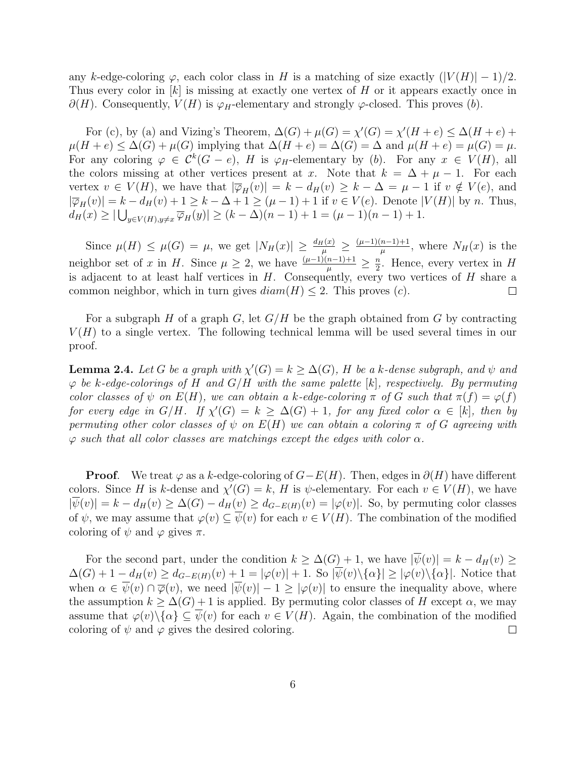any k-edge-coloring  $\varphi$ , each color class in H is a matching of size exactly  $(|V(H)| - 1)/2$ . Thus every color in [k] is missing at exactly one vertex of H or it appears exactly once in  $\partial(H)$ . Consequently,  $V(H)$  is  $\varphi_H$ -elementary and strongly  $\varphi$ -closed. This proves (b).

For (c), by (a) and Vizing's Theorem,  $\Delta(G) + \mu(G) = \chi'(G) = \chi'(H + e) \leq \Delta(H + e) +$  $\mu(H+e) \leq \Delta(G) + \mu(G)$  implying that  $\Delta(H+e) = \Delta(G) = \Delta$  and  $\mu(H+e) = \mu(G) = \mu$ . For any coloring  $\varphi \in C^k(G-e)$ , H is  $\varphi_H$ -elementary by (b). For any  $x \in V(H)$ , all the colors missing at other vertices present at x. Note that  $k = \Delta + \mu - 1$ . For each vertex  $v \in V(H)$ , we have that  $|\overline{\varphi}_H(v)| = k - d_H(v) \geq k - \Delta = \mu - 1$  if  $v \notin V(e)$ , and  $|\overline{\varphi}_H(v)| = k - d_H(v) + 1 \geq k - \Delta + 1 \geq (\mu - 1) + 1$  if  $v \in V(e)$ . Denote  $|V(H)|$  by n. Thus,  $d_H(x) \geq |\bigcup_{y \in V(H), y \neq x} \overline{\varphi}_H(y)| \geq (k - \Delta)(n - 1) + 1 = (\mu - 1)(n - 1) + 1.$ 

Since  $\mu(H) \leq \mu(G) = \mu$ , we get  $|N_H(x)| \geq \frac{d_H(x)}{\mu} \geq \frac{(\mu-1)(n-1)+1}{\mu}$  $\frac{n-1+1}{\mu}$ , where  $N_H(x)$  is the neighbor set of x in H. Since  $\mu \geq 2$ , we have  $\frac{(\mu-1)(n-1)+1}{\mu} \geq \frac{n}{2}$  $\frac{n}{2}$ . Hence, every vertex in H is adjacent to at least half vertices in  $H$ . Consequently, every two vertices of  $H$  share a common neighbor, which in turn gives  $diam(H) \leq 2$ . This proves (c).  $\Box$ 

For a subgraph H of a graph G, let  $G/H$  be the graph obtained from G by contracting  $V(H)$  to a single vertex. The following technical lemma will be used several times in our proof.

**Lemma 2.4.** Let G be a graph with  $\chi'(G) = k \geq \Delta(G)$ , H be a k-dense subgraph, and  $\psi$  and  $\varphi$  be k-edge-colorings of H and  $G/H$  with the same palette  $[k]$ , respectively. By permuting color classes of  $\psi$  on  $E(H)$ , we can obtain a k-edge-coloring  $\pi$  of G such that  $\pi(f) = \varphi(f)$ for every edge in  $G/H$ . If  $\chi'(G) = k \geq \Delta(G) + 1$ , for any fixed color  $\alpha \in [k]$ , then by permuting other color classes of  $\psi$  on  $E(H)$  we can obtain a coloring  $\pi$  of G agreeing with  $\varphi$  such that all color classes are matchings except the edges with color  $\alpha$ .

**Proof.** We treat  $\varphi$  as a k-edge-coloring of  $G-E(H)$ . Then, edges in  $\partial(H)$  have different colors. Since H is k-dense and  $\chi'(G) = k$ , H is  $\psi$ -elementary. For each  $v \in V(H)$ , we have  $|\psi(v)| = k - d_H(v) \geq \Delta(G) - d_H(v) \geq d_{G-E(H)}(v) = |\varphi(v)|$ . So, by permuting color classes of  $\psi$ , we may assume that  $\varphi(v) \subseteq \overline{\psi}(v)$  for each  $v \in V(H)$ . The combination of the modified coloring of  $\psi$  and  $\varphi$  gives  $\pi$ .

For the second part, under the condition  $k \geq \Delta(G) + 1$ , we have  $|\overline{\psi}(v)| = k - d_H(v) \geq$  $\Delta(G) + 1 - d_H(v) \geq d_{G-E(H)}(v) + 1 = |\varphi(v)| + 1$ . So  $|\overline{\psi}(v) \setminus {\alpha}| \geq |\varphi(v) \setminus {\alpha}|$ . Notice that when  $\alpha \in \overline{\psi}(v) \cap \overline{\varphi}(v)$ , we need  $|\overline{\psi}(v)| - 1 \geq |\varphi(v)|$  to ensure the inequality above, where the assumption  $k \geq \Delta(G) + 1$  is applied. By permuting color classes of H except  $\alpha$ , we may assume that  $\varphi(v)\setminus\{\alpha\}\subseteq\psi(v)$  for each  $v\in V(H)$ . Again, the combination of the modified coloring of  $\psi$  and  $\varphi$  gives the desired coloring.  $\Box$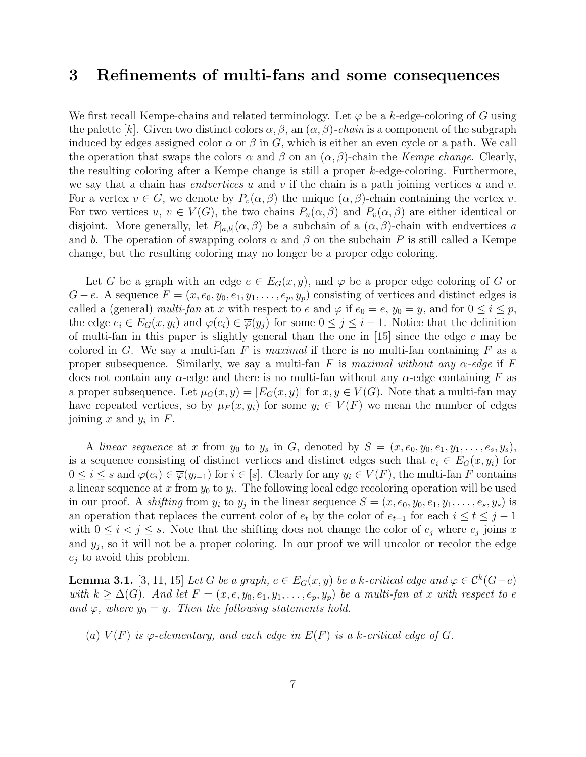### 3 Refinements of multi-fans and some consequences

We first recall Kempe-chains and related terminology. Let  $\varphi$  be a k-edge-coloring of G using the palette [k]. Given two distinct colors  $\alpha$ ,  $\beta$ , an  $(\alpha, \beta)$ -chain is a component of the subgraph induced by edges assigned color  $\alpha$  or  $\beta$  in G, which is either an even cycle or a path. We call the operation that swaps the colors  $\alpha$  and  $\beta$  on an  $(\alpha, \beta)$ -chain the Kempe change. Clearly, the resulting coloring after a Kempe change is still a proper k-edge-coloring. Furthermore, we say that a chain has *endvertices* u and v if the chain is a path joining vertices u and v. For a vertex  $v \in G$ , we denote by  $P_v(\alpha, \beta)$  the unique  $(\alpha, \beta)$ -chain containing the vertex v. For two vertices  $u, v \in V(G)$ , the two chains  $P_u(\alpha, \beta)$  and  $P_v(\alpha, \beta)$  are either identical or disjoint. More generally, let  $P_{[a,b]}(\alpha,\beta)$  be a subchain of a  $(\alpha,\beta)$ -chain with endvertices a and b. The operation of swapping colors  $\alpha$  and  $\beta$  on the subchain P is still called a Kempe change, but the resulting coloring may no longer be a proper edge coloring.

Let G be a graph with an edge  $e \in E_G(x, y)$ , and  $\varphi$  be a proper edge coloring of G or  $G - e$ . A sequence  $F = (x, e_0, y_0, e_1, y_1, \ldots, e_p, y_p)$  consisting of vertices and distinct edges is called a (general) multi-fan at x with respect to e and  $\varphi$  if  $e_0 = e$ ,  $y_0 = y$ , and for  $0 \le i \le p$ , the edge  $e_i \in E_G(x, y_i)$  and  $\varphi(e_i) \in \overline{\varphi}(y_i)$  for some  $0 \leq j \leq i-1$ . Notice that the definition of multi-fan in this paper is slightly general than the one in [15] since the edge e may be colored in G. We say a multi-fan F is maximal if there is no multi-fan containing F as a proper subsequence. Similarly, we say a multi-fan F is maximal without any  $\alpha$ -edge if F does not contain any  $\alpha$ -edge and there is no multi-fan without any  $\alpha$ -edge containing F as a proper subsequence. Let  $\mu_G(x, y) = |E_G(x, y)|$  for  $x, y \in V(G)$ . Note that a multi-fan may have repeated vertices, so by  $\mu_F(x, y_i)$  for some  $y_i \in V(F)$  we mean the number of edges joining  $x$  and  $y_i$  in  $F$ .

A linear sequence at x from  $y_0$  to  $y_s$  in G, denoted by  $S = (x, e_0, y_0, e_1, y_1, \ldots, e_s, y_s)$ , is a sequence consisting of distinct vertices and distinct edges such that  $e_i \in E_G(x, y_i)$  for  $0 \leq i \leq s$  and  $\varphi(e_i) \in \overline{\varphi}(y_{i-1})$  for  $i \in [s]$ . Clearly for any  $y_i \in V(F)$ , the multi-fan F contains a linear sequence at x from  $y_0$  to  $y_i$ . The following local edge recoloring operation will be used in our proof. A *shifting* from  $y_i$  to  $y_j$  in the linear sequence  $S = (x, e_0, y_0, e_1, y_1, \ldots, e_s, y_s)$  is an operation that replaces the current color of  $e_t$  by the color of  $e_{t+1}$  for each  $i \le t \le j-1$ with  $0 \leq i \leq j \leq s$ . Note that the shifting does not change the color of  $e_j$  where  $e_j$  joins x and  $y_j$ , so it will not be a proper coloring. In our proof we will uncolor or recolor the edge  $e_j$  to avoid this problem.

**Lemma 3.1.** [3, 11, 15] Let G be a graph,  $e \in E_G(x, y)$  be a k-critical edge and  $\varphi \in C^k(G-e)$ with  $k \geq \Delta(G)$ . And let  $F = (x, e, y_0, e_1, y_1, \ldots, e_p, y_p)$  be a multi-fan at x with respect to e and  $\varphi$ , where  $y_0 = y$ . Then the following statements hold.

(a)  $V(F)$  is  $\varphi$ -elementary, and each edge in  $E(F)$  is a k-critical edge of G.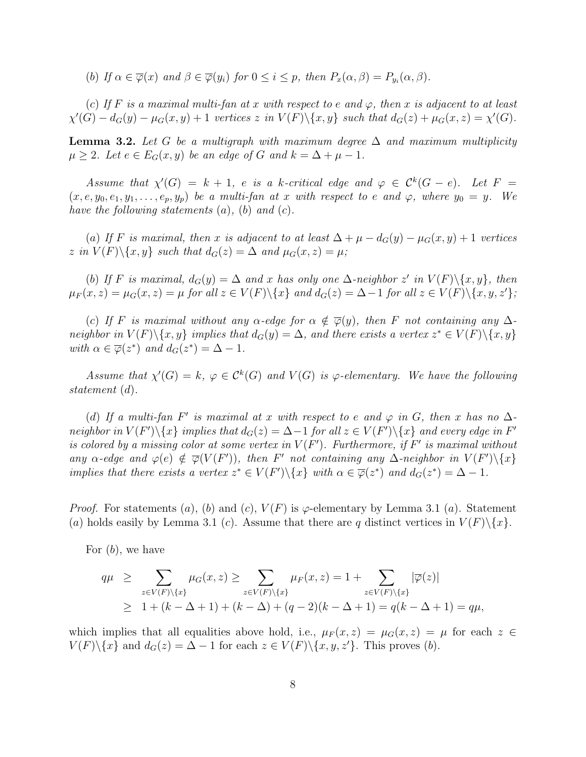(b) If  $\alpha \in \overline{\varphi}(x)$  and  $\beta \in \overline{\varphi}(y_i)$  for  $0 \leq i \leq p$ , then  $P_x(\alpha, \beta) = P_{y_i}(\alpha, \beta)$ .

(c) If F is a maximal multi-fan at x with respect to e and  $\varphi$ , then x is adjacent to at least  $\chi'(G) - d_G(y) - \mu_G(x, y) + 1$  vertices z in  $V(F) \setminus \{x, y\}$  such that  $d_G(z) + \mu_G(x, z) = \chi'(G)$ .

**Lemma 3.2.** Let G be a multigraph with maximum degree  $\Delta$  and maximum multiplicity  $\mu \geq 2$ . Let  $e \in E_G(x, y)$  be an edge of G and  $k = \Delta + \mu - 1$ .

Assume that  $\chi'(G) = k + 1$ , e is a k-critical edge and  $\varphi \in C^k(G - e)$ . Let  $F =$  $(x, e, y_0, e_1, y_1, \ldots, e_p, y_p)$  be a multi-fan at x with respect to e and  $\varphi$ , where  $y_0 = y$ . We have the following statements  $(a)$ ,  $(b)$  and  $(c)$ .

(a) If F is maximal, then x is adjacent to at least  $\Delta + \mu - d_G(y) - \mu_G(x, y) + 1$  vertices z in  $V(F)\backslash\{x,y\}$  such that  $d_G(z) = \Delta$  and  $\mu_G(x,z) = \mu$ ;

(b) If F is maximal,  $d_G(y) = \Delta$  and x has only one  $\Delta$ -neighbor z' in  $V(F)\setminus\{x, y\}$ , then  $\mu_F(x, z) = \mu_G(x, z) = \mu$  for all  $z \in V(F) \setminus \{x\}$  and  $d_G(z) = \Delta - 1$  for all  $z \in V(F) \setminus \{x, y, z'\}$ ;

(c) If F is maximal without any  $\alpha$ -edge for  $\alpha \notin \overline{\varphi}(y)$ , then F not containing any  $\Delta$ neighbor in  $V(F)\setminus\{x,y\}$  implies that  $d_G(y) = \Delta$ , and there exists a vertex  $z^* \in V(F)\setminus\{x,y\}$ with  $\alpha \in \overline{\varphi}(z^*)$  and  $d_G(z^*) = \Delta - 1$ .

Assume that  $\chi'(G) = k$ ,  $\varphi \in C^k(G)$  and  $V(G)$  is  $\varphi$ -elementary. We have the following statement (d).

(d) If a multi-fan F' is maximal at x with respect to e and  $\varphi$  in G, then x has no  $\Delta$ neighbor in  $V(F')\backslash\{x\}$  implies that  $d_G(z) = \Delta - 1$  for all  $z \in V(F')\backslash\{x\}$  and every edge in  $F'$ is colored by a missing color at some vertex in  $V(F')$ . Furthermore, if  $F'$  is maximal without any  $\alpha$ -edge and  $\varphi(e) \notin \overline{\varphi}(V(F'))$ , then F' not containing any  $\Delta$ -neighbor in  $V(F')\setminus\{x\}$ implies that there exists a vertex  $z^* \in V(F') \setminus \{x\}$  with  $\alpha \in \overline{\varphi}(z^*)$  and  $d_G(z^*) = \Delta - 1$ .

*Proof.* For statements (a), (b) and (c),  $V(F)$  is  $\varphi$ -elementary by Lemma 3.1 (a). Statement (a) holds easily by Lemma 3.1 (c). Assume that there are q distinct vertices in  $V(F)\setminus\{x\}$ .

For  $(b)$ , we have

$$
q\mu \geq \sum_{z \in V(F) \setminus \{x\}} \mu_G(x, z) \geq \sum_{z \in V(F) \setminus \{x\}} \mu_F(x, z) = 1 + \sum_{z \in V(F) \setminus \{x\}} |\overline{\varphi}(z)|
$$
  
 
$$
\geq 1 + (k - \Delta + 1) + (k - \Delta) + (q - 2)(k - \Delta + 1) = q(k - \Delta + 1) = q\mu,
$$

which implies that all equalities above hold, i.e.,  $\mu_F(x, z) = \mu_G(x, z) = \mu$  for each  $z \in$  $V(F)\setminus\{x\}$  and  $d_G(z) = \Delta - 1$  for each  $z \in V(F)\setminus\{x, y, z'\}.$  This proves (b).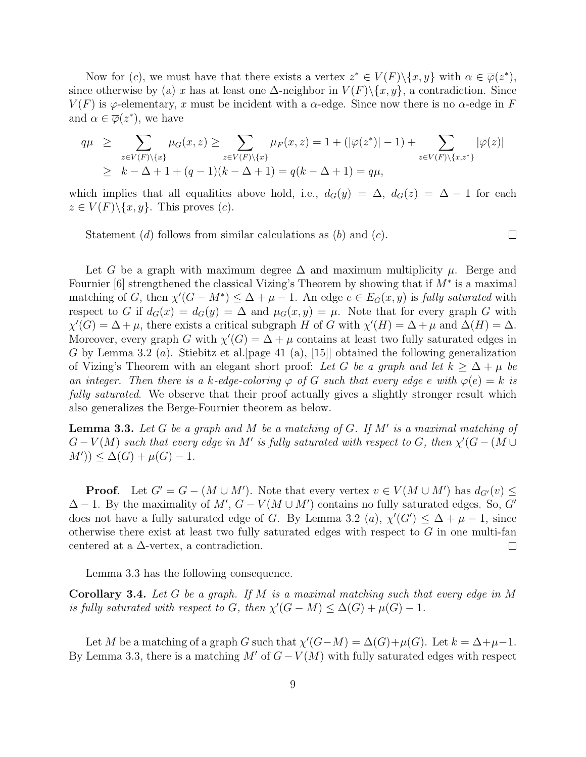Now for (c), we must have that there exists a vertex  $z^* \in V(F) \setminus \{x, y\}$  with  $\alpha \in \overline{\varphi}(z^*)$ , since otherwise by (a) x has at least one  $\Delta$ -neighbor in  $V(F)\setminus\{x, y\}$ , a contradiction. Since  $V(F)$  is  $\varphi$ -elementary, x must be incident with a  $\alpha$ -edge. Since now there is no  $\alpha$ -edge in F and  $\alpha \in \overline{\varphi}(z^*)$ , we have

$$
q\mu \geq \sum_{z \in V(F) \setminus \{x\}} \mu_G(x, z) \geq \sum_{z \in V(F) \setminus \{x\}} \mu_F(x, z) = 1 + (|\overline{\varphi}(z^*)| - 1) + \sum_{z \in V(F) \setminus \{x, z^*\}} |\overline{\varphi}(z)|
$$
  
 
$$
\geq k - \Delta + 1 + (q - 1)(k - \Delta + 1) = q(k - \Delta + 1) = q\mu,
$$

which implies that all equalities above hold, i.e.,  $d_G(y) = \Delta$ ,  $d_G(z) = \Delta - 1$  for each  $z \in V(F) \backslash \{x, y\}$ . This proves  $(c)$ .

Statement (d) follows from similar calculations as  $(b)$  and  $(c)$ .

 $\Box$ 

Let G be a graph with maximum degree  $\Delta$  and maximum multiplicity  $\mu$ . Berge and Fournier [6] strengthened the classical Vizing's Theorem by showing that if  $M^*$  is a maximal matching of G, then  $\chi'(G - M^*) \leq \Delta + \mu - 1$ . An edge  $e \in E_G(x, y)$  is fully saturated with respect to G if  $d_G(x) = d_G(y) = \Delta$  and  $\mu_G(x, y) = \mu$ . Note that for every graph G with  $\chi'(G) = \Delta + \mu$ , there exists a critical subgraph H of G with  $\chi'(H) = \Delta + \mu$  and  $\Delta(H) = \Delta$ . Moreover, every graph G with  $\chi'(G) = \Delta + \mu$  contains at least two fully saturated edges in G by Lemma 3.2 (*a*). Stiebitz et al. [page 41 (a), [15]] obtained the following generalization of Vizing's Theorem with an elegant short proof: Let G be a graph and let  $k \geq \Delta + \mu$  be an integer. Then there is a k-edge-coloring  $\varphi$  of G such that every edge e with  $\varphi(e) = k$  is fully saturated. We observe that their proof actually gives a slightly stronger result which also generalizes the Berge-Fournier theorem as below.

**Lemma 3.3.** Let G be a graph and M be a matching of G. If M' is a maximal matching of  $G-V(M)$  such that every edge in M' is fully saturated with respect to G, then  $\chi'(G - (M \cup$  $(M')$ )  $\leq \Delta(G) + \mu(G) - 1$ .

**Proof.** Let  $G' = G - (M \cup M')$ . Note that every vertex  $v \in V(M \cup M')$  has  $d_{G'}(v) \leq$  $\Delta - 1$ . By the maximality of  $M', G - V(M \cup M')$  contains no fully saturated edges. So, G' does not have a fully saturated edge of G. By Lemma 3.2 (a),  $\chi'(G') \leq \Delta + \mu - 1$ , since otherwise there exist at least two fully saturated edges with respect to  $G$  in one multi-fan centered at a  $\Delta$ -vertex, a contradiction.  $\Box$ 

Lemma 3.3 has the following consequence.

**Corollary 3.4.** Let G be a graph. If M is a maximal matching such that every edge in M is fully saturated with respect to G, then  $\chi'(G-M) \leq \Delta(G) + \mu(G) - 1$ .

Let M be a matching of a graph G such that  $\chi'(G-M) = \Delta(G) + \mu(G)$ . Let  $k = \Delta + \mu - 1$ . By Lemma 3.3, there is a matching M' of  $G-V(M)$  with fully saturated edges with respect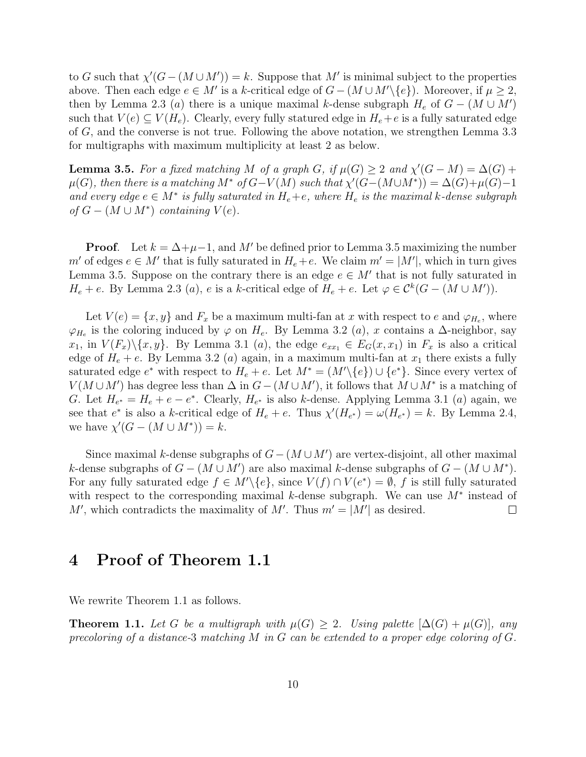to G such that  $\chi'(G - (M \cup M')) = k$ . Suppose that M' is minimal subject to the properties above. Then each edge  $e \in M'$  is a k-critical edge of  $G - (M \cup M' \setminus \{e\})$ . Moreover, if  $\mu \geq 2$ , then by Lemma 2.3 (a) there is a unique maximal k-dense subgraph  $H_e$  of  $G - (M \cup M')$ such that  $V(e) \subseteq V(H_e)$ . Clearly, every fully statured edge in  $H_e + e$  is a fully saturated edge of G, and the converse is not true. Following the above notation, we strengthen Lemma 3.3 for multigraphs with maximum multiplicity at least 2 as below.

**Lemma 3.5.** For a fixed matching M of a graph G, if  $\mu(G) \geq 2$  and  $\chi'(G - M) = \Delta(G) +$  $\mu(G)$ , then there is a matching  $M^*$  of  $G-V(M)$  such that  $\chi'(G-(M\cup M^*))=\Delta(G)+\mu(G)-1$ and every edge  $e \in M^*$  is fully saturated in  $H_e + e$ , where  $H_e$  is the maximal k-dense subgraph of  $G - (M \cup M^*)$  containing  $V(e)$ .

**Proof.** Let  $k = \Delta + \mu - 1$ , and M' be defined prior to Lemma 3.5 maximizing the number  $m'$  of edges  $e \in M'$  that is fully saturated in  $H_e + e$ . We claim  $m' = |M'|$ , which in turn gives Lemma 3.5. Suppose on the contrary there is an edge  $e \in M'$  that is not fully saturated in  $H_e + e$ . By Lemma 2.3 (a), e is a k-critical edge of  $H_e + e$ . Let  $\varphi \in C^k(G - (M \cup M'))$ .

Let  $V(e) = \{x, y\}$  and  $F_x$  be a maximum multi-fan at x with respect to e and  $\varphi_{H_e}$ , where  $\varphi_{H_e}$  is the coloring induced by  $\varphi$  on  $H_e$ . By Lemma 3.2 (*a*), x contains a  $\Delta$ -neighbor, say  $x_1$ , in  $V(F_x)\setminus\{x, y\}$ . By Lemma 3.1 (a), the edge  $e_{xx_1} \in E_G(x, x_1)$  in  $F_x$  is also a critical edge of  $H_e + e$ . By Lemma 3.2 (*a*) again, in a maximum multi-fan at  $x_1$  there exists a fully saturated edge  $e^*$  with respect to  $H_e + e$ . Let  $M^* = (M' \setminus \{e\}) \cup \{e^*\}$ . Since every vertex of  $V(M \cup M')$  has degree less than  $\Delta$  in  $G - (M \cup M')$ , it follows that  $M \cup M^*$  is a matching of G. Let  $H_{e^*} = H_e + e - e^*$ . Clearly,  $H_{e^*}$  is also k-dense. Applying Lemma 3.1 (a) again, we see that  $e^*$  is also a k-critical edge of  $H_e + e$ . Thus  $\chi'(H_{e^*}) = \omega(H_{e^*}) = k$ . By Lemma 2.4, we have  $\chi'(G - (M \cup M^*)) = k$ .

Since maximal k-dense subgraphs of  $G - (M \cup M')$  are vertex-disjoint, all other maximal k-dense subgraphs of  $G - (M \cup M')$  are also maximal k-dense subgraphs of  $G - (M \cup M^*)$ . For any fully saturated edge  $f \in M' \setminus \{e\}$ , since  $V(f) \cap V(e^*) = \emptyset$ , f is still fully saturated with respect to the corresponding maximal k-dense subgraph. We can use  $M^*$  instead of M', which contradicts the maximality of M'. Thus  $m' = |M'|$  as desired.  $\Box$ 

## 4 Proof of Theorem 1.1

We rewrite Theorem 1.1 as follows.

**Theorem 1.1.** Let G be a multigraph with  $\mu(G) \geq 2$ . Using palette  $[\Delta(G) + \mu(G)]$ , any precoloring of a distance-3 matching M in G can be extended to a proper edge coloring of  $G$ .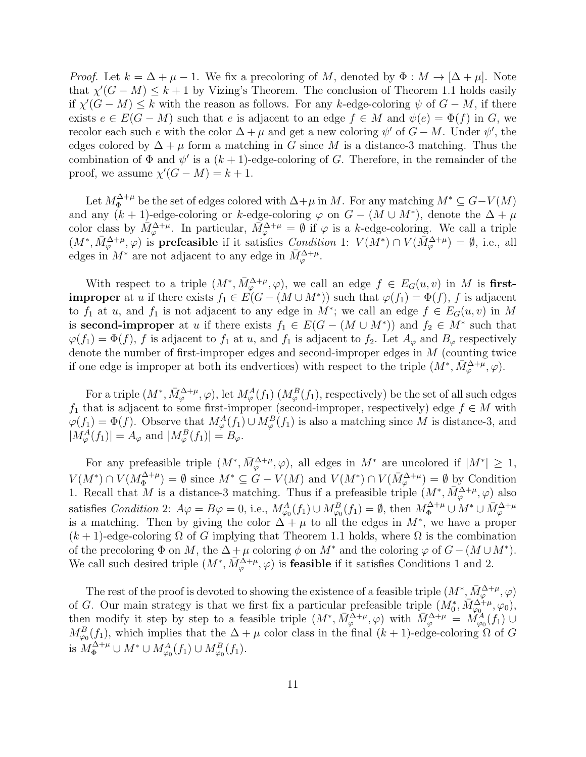*Proof.* Let  $k = \Delta + \mu - 1$ . We fix a precoloring of M, denoted by  $\Phi : M \to [\Delta + \mu]$ . Note that  $\chi'(G-M) \leq k+1$  by Vizing's Theorem. The conclusion of Theorem 1.1 holds easily if  $\chi'(G - M) \leq k$  with the reason as follows. For any k-edge-coloring  $\psi$  of  $G - M$ , if there exists  $e \in E(G-M)$  such that e is adjacent to an edge  $f \in M$  and  $\psi(e) = \Phi(f)$  in G, we recolor each such e with the color  $\Delta + \mu$  and get a new coloring  $\psi'$  of  $G - M$ . Under  $\psi'$ , the edges colored by  $\Delta + \mu$  form a matching in G since M is a distance-3 matching. Thus the combination of  $\Phi$  and  $\psi'$  is a  $(k+1)$ -edge-coloring of G. Therefore, in the remainder of the proof, we assume  $\chi'(G-M) = k+1$ .

Let  $M_{\Phi}^{\Delta+\mu}$  be the set of edges colored with  $\Delta+\mu$  in M. For any matching  $M^* \subseteq G-V(M)$ and any  $(k + 1)$ -edge-coloring or k-edge-coloring  $\varphi$  on  $G - (M \cup M^*)$ , denote the  $\Delta + \mu$ color class by  $\overline{M}_{\varphi}^{\Delta+\mu}$ . In particular,  $\overline{M}_{\varphi}^{\Delta+\mu} = \emptyset$  if  $\varphi$  is a k-edge-coloring. We call a triple  $(M^*, \bar{M}_{\varphi}^{\Delta+\mu}, \varphi)$  is **prefeasible** if it satisfies *Condition* 1:  $V(M^*) \cap V(\bar{M}_{\varphi}^{\Delta+\mu}) = \emptyset$ , i.e., all edges in  $M^*$  are not adjacent to any edge in  $\bar{M}_{\varphi}^{\Delta+\mu}$ .

With respect to a triple  $(M^*, \bar{M}_{\varphi}^{\Delta+\mu}, \varphi)$ , we call an edge  $f \in E_G(u, v)$  in M is first**improper** at u if there exists  $f_1 \in E(G - (M \cup M^*))$  such that  $\varphi(f_1) = \Phi(f)$ , f is adjacent to  $f_1$  at u, and  $f_1$  is not adjacent to any edge in  $M^*$ ; we call an edge  $f \in E_G(u, v)$  in M is second-improper at u if there exists  $f_1 \in E(G - (M \cup M^*))$  and  $f_2 \in M^*$  such that  $\varphi(f_1) = \Phi(f)$ , f is adjacent to  $f_1$  at u, and  $f_1$  is adjacent to  $f_2$ . Let  $A_{\varphi}$  and  $B_{\varphi}$  respectively denote the number of first-improper edges and second-improper edges in M (counting twice if one edge is improper at both its endvertices) with respect to the triple  $(M^*, \bar{M}_{\varphi}^{\Delta+\mu}, \varphi)$ .

For a triple  $(M^*, \bar{M}_{\varphi}^{\Delta+\mu}, \varphi)$ , let  $M_{\varphi}^A(f_1)$   $(M_{\varphi}^B(f_1),$  respectively) be the set of all such edges  $f_1$  that is adjacent to some first-improper (second-improper, respectively) edge  $f \in M$  with  $\varphi(f_1) = \Phi(f)$ . Observe that  $M^A_{\varphi}(f_1) \cup M^B_{\varphi}(f_1)$  is also a matching since M is distance-3, and  $|M_{\varphi}^{A}(f_1)| = A_{\varphi}$  and  $|M_{\varphi}^{B}(f_1)| = B_{\varphi}$ .

For any prefeasible triple  $(M^*, \bar{M}_{\varphi}^{\Delta+\mu}, \varphi)$ , all edges in  $M^*$  are uncolored if  $|M^*| \geq 1$ ,  $V(M^*) \cap V(M_{\Phi}^{\Delta+\mu}$  $\Phi_{\Phi}^{\Delta+\mu}$  =  $\emptyset$  since  $M^* \subseteq G - V(M)$  and  $V(M^*) \cap V(\bar{M}_{\varphi}^{\Delta+\mu}) = \emptyset$  by Condition 1. Recall that M is a distance-3 matching. Thus if a prefeasible triple  $(M^*, \bar{M}_{\varphi}^{\Delta+\mu}, \varphi)$  also satisfies *Condition* 2:  $A\varphi = B\varphi = 0$ , i.e.,  $M_{\varphi_0}^A(f_1) \cup M_{\varphi_0}^B(f_1) = \emptyset$ , then  $M_{\Phi}^{\Delta+\mu} \cup M^* \cup M_{\varphi}^{\Delta+\mu}$ <br>is a matching. Then by giving the color  $\Delta + \mu$  to all the edges in  $M^*$ , we have a proper  $(k+1)$ -edge-coloring  $\Omega$  of G implying that Theorem 1.1 holds, where  $\Omega$  is the combination of the precoloring  $\Phi$  on M, the  $\Delta + \mu$  coloring  $\phi$  on  $M^*$  and the coloring  $\varphi$  of  $G - (M \cup M^*)$ . We call such desired triple  $(M^*, \bar{M}_{\varphi}^{\Delta+\mu}, \varphi)$  is **feasible** if it satisfies Conditions 1 and 2.

The rest of the proof is devoted to showing the existence of a feasible triple  $(M^*, \bar{M}_{\varphi}^{\Delta+\mu}, \varphi)$ of G. Our main strategy is that we first fix a particular prefeasible triple  $(M_0^*, \overline{M}_{\varphi_0}^{\Delta^+_{\tau}\mu}, \varphi_0)$ , then modify it step by step to a feasible triple  $(M^*, \bar{M}_{\varphi}^{\Delta+\mu}, \varphi)$  with  $\bar{M}_{\varphi}^{\Delta+\mu} = M_{\varphi_0}^{\alpha}(f_1)$  $M_{\varphi_0}^B(f_1)$ , which implies that the  $\Delta + \mu$  color class in the final  $(k+1)$ -edge-coloring  $\Omega$  of G is  $M_{\Phi}^{\Delta+\mu} \cup M^* \cup M_{\varphi_0}^A(f_1) \cup M_{\varphi_0}^B(f_1)$ .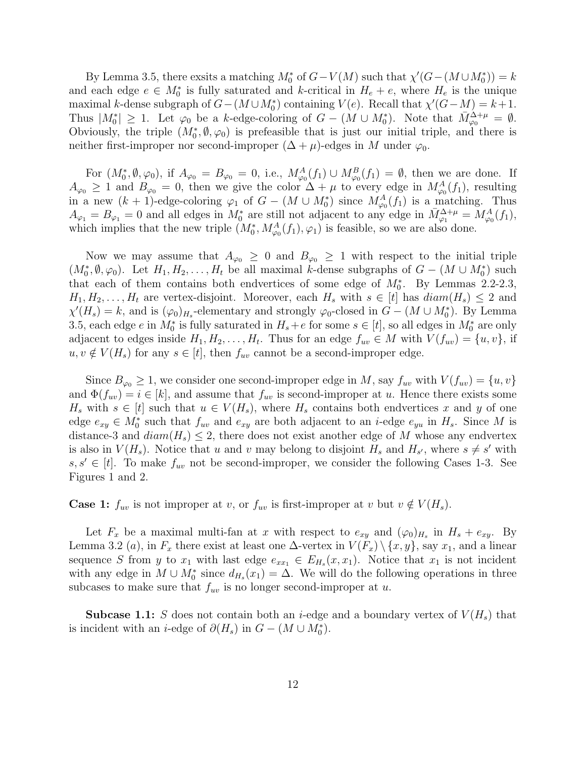By Lemma 3.5, there exsits a matching  $M_0^*$  of  $G - V(M)$  such that  $\chi'(G - (M \cup M_0^*)) = k$ and each edge  $e \in M_0^*$  is fully saturated and k-critical in  $H_e + e$ , where  $H_e$  is the unique maximal k-dense subgraph of  $G - (M \cup M_0^*)$  containing  $V(e)$ . Recall that  $\chi'(G - M) = k + 1$ . Thus  $|M_0^*| \geq 1$ . Let  $\varphi_0$  be a k-edge-coloring of  $G - (M \cup M_0^*)$ . Note that  $M_{\varphi_0}^{\Delta+\mu} = \emptyset$ . Obviously, the triple  $(M_0^*, \emptyset, \varphi_0)$  is prefeasible that is just our initial triple, and there is neither first-improper nor second-improper  $(\Delta + \mu)$ -edges in M under  $\varphi_0$ .

For  $(M_0^*, \emptyset, \varphi_0)$ , if  $A_{\varphi_0} = B_{\varphi_0} = 0$ , i.e.,  $M_{\varphi_0}^A(f_1) \cup M_{\varphi_0}^B(f_1) = \emptyset$ , then we are done. If  $A_{\varphi_0} \geq 1$  and  $B_{\varphi_0} = 0$ , then we give the color  $\Delta + \mu$  to every edge in  $M_{\varphi_0}^A(f_1)$ , resulting in a new  $(k + 1)$ -edge-coloring  $\varphi_1$  of  $G - (M \cup M_0^*)$  since  $M_{\varphi_0}^A(f_1)$  is a matching. Thus  $A_{\varphi_1} = B_{\varphi_1} = 0$  and all edges in  $M_0^*$  are still not adjacent to any edge in  $\bar{M}_{\varphi_1}^{\Delta+\mu} = M_{\varphi_0}^A(f_1)$ , which implies that the new triple  $(M_0^*, M_{\varphi_0}^A(f_1), \varphi_1)$  is feasible, so we are also done.

Now we may assume that  $A_{\varphi_0} \geq 0$  and  $B_{\varphi_0} \geq 1$  with respect to the initial triple  $(M_0^*, \emptyset, \varphi_0)$ . Let  $H_1, H_2, \ldots, H_t$  be all maximal k-dense subgraphs of  $G - (M \cup M_0^*)$  such that each of them contains both endvertices of some edge of  $M_0^*$ . By Lemmas 2.2-2.3,  $H_1, H_2, \ldots, H_t$  are vertex-disjoint. Moreover, each  $H_s$  with  $s \in [t]$  has  $diam(H_s) \leq 2$  and  $\chi'(H_s) = k$ , and is  $(\varphi_0)_{H_s}$ -elementary and strongly  $\varphi_0$ -closed in  $G - (M \cup M_0^*)$ . By Lemma 3.5, each edge  $e$  in  $M_0^*$  is fully saturated in  $H_s + e$  for some  $s \in [t]$ , so all edges in  $M_0^*$  are only adjacent to edges inside  $H_1, H_2, \ldots, H_t$ . Thus for an edge  $f_{uv} \in M$  with  $V(f_{uv}) = \{u, v\}$ , if  $u, v \notin V(H_s)$  for any  $s \in [t]$ , then  $f_{uv}$  cannot be a second-improper edge.

Since  $B_{\varphi_0} \geq 1$ , we consider one second-improper edge in M, say  $f_{uv}$  with  $V(f_{uv}) = \{u, v\}$ and  $\Phi(f_{uv}) = i \in [k]$ , and assume that  $f_{uv}$  is second-improper at u. Hence there exists some  $H_s$  with  $s \in [t]$  such that  $u \in V(H_s)$ , where  $H_s$  contains both endvertices x and y of one edge  $e_{xy} \in M_0^*$  such that  $f_{uv}$  and  $e_{xy}$  are both adjacent to an *i*-edge  $e_{yu}$  in  $H_s$ . Since M is distance-3 and  $diam(H_s) \leq 2$ , there does not exist another edge of M whose any endvertex is also in  $V(H_s)$ . Notice that u and v may belong to disjoint  $H_s$  and  $H_{s'}$ , where  $s \neq s'$  with  $s, s' \in [t]$ . To make  $f_{uv}$  not be second-improper, we consider the following Cases 1-3. See Figures 1 and 2.

**Case 1:**  $f_{uv}$  is not improper at v, or  $f_{uv}$  is first-improper at v but  $v \notin V(H_s)$ .

Let  $F_x$  be a maximal multi-fan at x with respect to  $e_{xy}$  and  $(\varphi_0)_{H_s}$  in  $H_s + e_{xy}$ . By Lemma 3.2 (a), in  $F_x$  there exist at least one  $\Delta$ -vertex in  $V(F_x) \setminus \{x, y\}$ , say  $x_1$ , and a linear sequence S from y to  $x_1$  with last edge  $e_{xx_1} \in E_{H_s}(x, x_1)$ . Notice that  $x_1$  is not incident with any edge in  $M \cup M_0^*$  since  $d_{H_s}(x_1) = \Delta$ . We will do the following operations in three subcases to make sure that  $f_{uv}$  is no longer second-improper at u.

**Subcase 1.1:** S does not contain both an *i*-edge and a boundary vertex of  $V(H_s)$  that is incident with an *i*-edge of  $\partial(H_s)$  in  $G - (M \cup M_0^*)$ .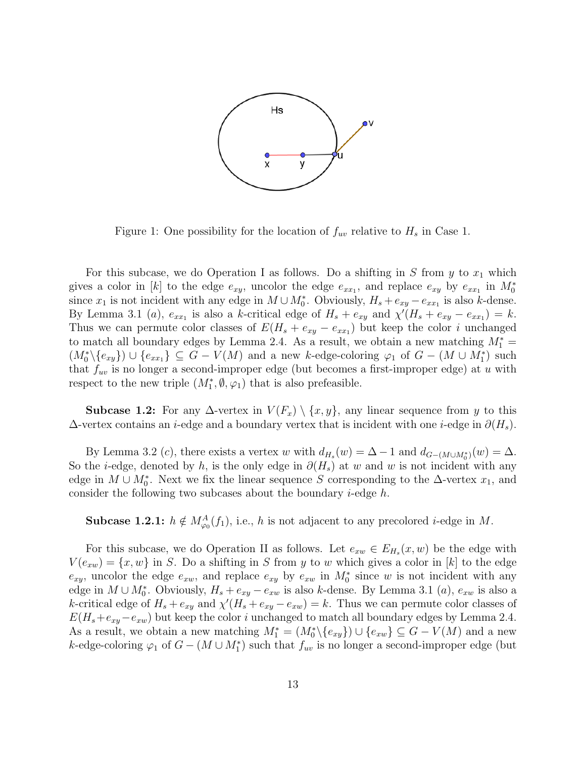

Figure 1: One possibility for the location of  $f_{uv}$  relative to  $H_s$  in Case 1.

For this subcase, we do Operation I as follows. Do a shifting in S from  $y$  to  $x_1$  which gives a color in [k] to the edge  $e_{xy}$ , uncolor the edge  $e_{xx_1}$ , and replace  $e_{xy}$  by  $e_{xx_1}$  in  $M_0^*$ since  $x_1$  is not incident with any edge in  $M \cup M_0^*$ . Obviously,  $H_s + e_{xy} - e_{xx_1}$  is also k-dense. By Lemma 3.1 (a),  $e_{xx_1}$  is also a k-critical edge of  $H_s + e_{xy}$  and  $\chi'(H_s + e_{xy} - e_{xx_1}) = k$ . Thus we can permute color classes of  $E(H_s + e_{xy} - e_{xx_1})$  but keep the color i unchanged to match all boundary edges by Lemma 2.4. As a result, we obtain a new matching  $M_1^* =$  $(M_0^*\backslash \{e_{xy}\})\cup \{e_{xx_1}\}\subseteq G-V(M)$  and a new k-edge-coloring  $\varphi_1$  of  $G-(M\cup M_1^*)$  such that  $f_{uv}$  is no longer a second-improper edge (but becomes a first-improper edge) at u with respect to the new triple  $(M_1^*, \emptyset, \varphi_1)$  that is also prefeasible.

**Subcase 1.2:** For any  $\Delta$ -vertex in  $V(F_x) \setminus \{x, y\}$ , any linear sequence from y to this  $\Delta$ -vertex contains an *i*-edge and a boundary vertex that is incident with one *i*-edge in  $\partial(H_s)$ .

By Lemma 3.2 (c), there exists a vertex w with  $d_{H_s}(w) = \Delta - 1$  and  $d_{G-(M\cup M_0^*)}(w) = \Delta$ . So the *i*-edge, denoted by h, is the only edge in  $\partial(H_s)$  at w and w is not incident with any edge in  $M \cup M_0^*$ . Next we fix the linear sequence S corresponding to the  $\Delta$ -vertex  $x_1$ , and consider the following two subcases about the boundary  $i$ -edge  $h$ .

**Subcase 1.2.1:**  $h \notin M^A_{\varphi_0}(f_1)$ , i.e., h is not adjacent to any precolored *i*-edge in M.

For this subcase, we do Operation II as follows. Let  $e_{xw} \in E_{H_s}(x, w)$  be the edge with  $V(e_{xw}) = \{x, w\}$  in S. Do a shifting in S from y to w which gives a color in [k] to the edge  $e_{xy}$ , uncolor the edge  $e_{xw}$ , and replace  $e_{xy}$  by  $e_{xw}$  in  $M_0^*$  since w is not incident with any edge in  $M \cup M_0^*$ . Obviously,  $H_s + e_{xy} - e_{xw}$  is also k-dense. By Lemma 3.1 (*a*),  $e_{xw}$  is also a k-critical edge of  $H_s + e_{xy}$  and  $\chi'(H_s + e_{xy} - e_{xw}) = k$ . Thus we can permute color classes of  $E(H_s+e_{xy}-e_{xw})$  but keep the color *i* unchanged to match all boundary edges by Lemma 2.4. As a result, we obtain a new matching  $M_1^* = (M_0^* \setminus \{e_{xy}\}) \cup \{e_{xw}\} \subseteq G - V(M)$  and a new k-edge-coloring  $\varphi_1$  of  $G - (M \cup M_1^*)$  such that  $f_{uv}$  is no longer a second-improper edge (but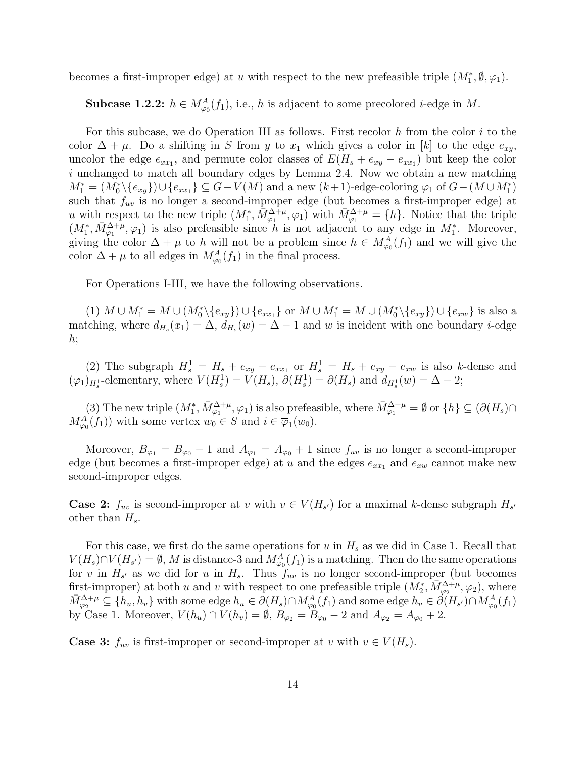becomes a first-improper edge) at u with respect to the new prefeasible triple  $(M_1^*, \emptyset, \varphi_1)$ .

**Subcase 1.2.2:**  $h \in M^A_{\varphi_0}(f_1)$ , i.e., h is adjacent to some precolored *i*-edge in M.

For this subcase, we do Operation III as follows. First recolor  $h$  from the color  $i$  to the color  $\Delta + \mu$ . Do a shifting in S from y to  $x_1$  which gives a color in [k] to the edge  $e_{xy}$ , uncolor the edge  $e_{xx_1}$ , and permute color classes of  $E(H_s + e_{xy} - e_{xx_1})$  but keep the color i unchanged to match all boundary edges by Lemma 2.4. Now we obtain a new matching  $M_1^* = (M_0^*\backslash \{e_{xy}\})\cup \{e_{xx_1}\}\subseteq G-V(M)$  and a new  $(k+1)$ -edge-coloring  $\varphi_1$  of  $G-(M\cup M_1^*)$ such that  $f_{uv}$  is no longer a second-improper edge (but becomes a first-improper edge) at u with respect to the new triple  $(M_1^*, \overline{M}_{\varphi_1}^{\Delta+\mu}, \varphi_1)$  with  $\overline{M}_{\varphi_1}^{\Delta+\mu} = \{h\}$ . Notice that the triple  $(M_1^*, \bar{M}_{\varphi_1}^{\Delta+\mu}, \varphi_1)$  is also prefeasible since h is not adjacent to any edge in  $M_1^*$ . Moreover, giving the color  $\Delta + \mu$  to h will not be a problem since  $h \in M^A_{\varphi_0}(f_1)$  and we will give the color  $\Delta + \mu$  to all edges in  $M_{\varphi_0}^A(f_1)$  in the final process.

For Operations I-III, we have the following observations.

(1)  $M \cup M_1^* = M \cup (M_0^* \setminus \{e_{xy}\}) \cup \{e_{xx_1}\}$  or  $M \cup M_1^* = M \cup (M_0^* \setminus \{e_{xy}\}) \cup \{e_{xw}\}$  is also a matching, where  $d_{H_s}(x_1) = \Delta$ ,  $d_{H_s}(w) = \Delta - 1$  and w is incident with one boundary *i*-edge h;

(2) The subgraph  $H_s^1 = H_s + e_{xy} - e_{xx_1}$  or  $H_s^1 = H_s + e_{xy} - e_{xw}$  is also k-dense and  $(\varphi_1)_{H_s}$ -elementary, where  $V(H_s^1) = V(H_s)$ ,  $\partial(H_s^1) = \partial(H_s)$  and  $d_{H_s^1}(w) = \Delta - 2$ ;

(3) The new triple  $(M_1^*, \bar{M}_{\varphi_1}^{\Delta+\mu}, \varphi_1)$  is also prefeasible, where  $\bar{M}_{\varphi_1}^{\Delta+\mu} = \emptyset$  or  $\{h\} \subseteq (\partial(H_s) \cap$  $M_{\varphi_0}^A(f_1)$  with some vertex  $w_0 \in S$  and  $i \in \overline{\varphi}_1(w_0)$ .

Moreover,  $B_{\varphi_1} = B_{\varphi_0} - 1$  and  $A_{\varphi_1} = A_{\varphi_0} + 1$  since  $f_{uv}$  is no longer a second-improper edge (but becomes a first-improper edge) at u and the edges  $e_{xx_1}$  and  $e_{xw}$  cannot make new second-improper edges.

**Case 2:**  $f_{uv}$  is second-improper at v with  $v \in V(H_{s})$  for a maximal k-dense subgraph  $H_{s'}$ other than  $H_s$ .

For this case, we first do the same operations for  $u$  in  $H_s$  as we did in Case 1. Recall that  $V(H_s) \cap V(H_{s'}) = \emptyset$ , M is distance-3 and  $M_{\varphi_0}^A(f_1)$  is a matching. Then do the same operations for v in  $H_{s'}$  as we did for u in  $H_{s}$ . Thus  $f_{uv}$  is no longer second-improper (but becomes first-improper) at both u and v with respect to one prefeasible triple  $(M_2^*, \overline{M}_{\varphi_2}^{\Delta+\mu}, \varphi_2)$ , where  $\bar{M}_{\varphi_2}^{\Delta+\mu} \subseteq \{h_u, h_v\}$  with some edge  $h_u \in \partial(H_s) \cap M_{\varphi_0}^A(f_1)$  and some edge  $h_v \in \partial(H_{s'}) \cap M_{\varphi_0}^A(f_1)$ by Case 1. Moreover,  $V(h_u) \cap V(h_v) = \emptyset$ ,  $B_{\varphi_2} = B_{\varphi_0} - 2$  and  $A_{\varphi_2} = A_{\varphi_0} + 2$ .

**Case 3:**  $f_{uv}$  is first-improper or second-improper at v with  $v \in V(H_s)$ .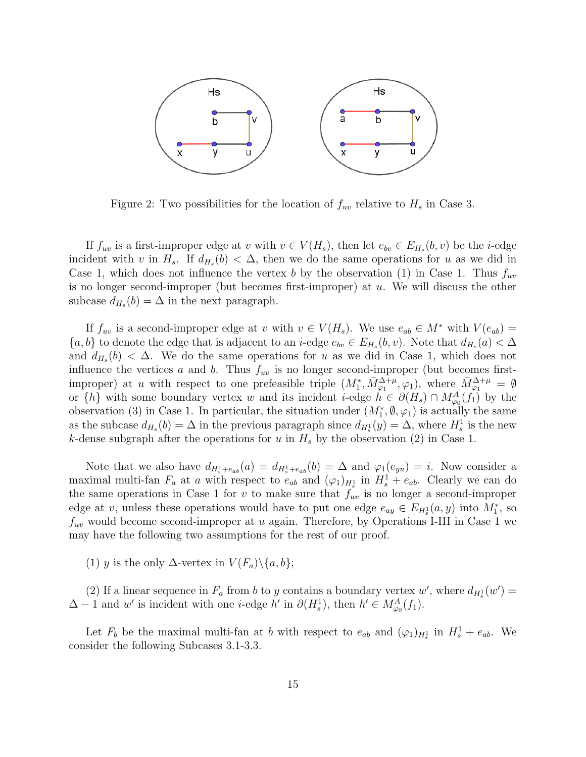

Figure 2: Two possibilities for the location of  $f_{uv}$  relative to  $H_s$  in Case 3.

If  $f_{uv}$  is a first-improper edge at v with  $v \in V(H_s)$ , then let  $e_{bv} \in E_{H_s}(b, v)$  be the *i*-edge incident with v in  $H_s$ . If  $d_{H_s}(b) < \Delta$ , then we do the same operations for u as we did in Case 1, which does not influence the vertex b by the observation (1) in Case 1. Thus  $f_{uv}$ is no longer second-improper (but becomes first-improper) at  $u$ . We will discuss the other subcase  $d_{H_s}(b) = \Delta$  in the next paragraph.

If  $f_{uv}$  is a second-improper edge at v with  $v \in V(H_s)$ . We use  $e_{ab} \in M^*$  with  $V(e_{ab}) =$  $\{a, b\}$  to denote the edge that is adjacent to an *i*-edge  $e_{bv} \in E_{H_s}(b, v)$ . Note that  $d_{H_s}(a) < \Delta$ and  $d_{H_s}(b) < \Delta$ . We do the same operations for u as we did in Case 1, which does not influence the vertices a and b. Thus  $f_{uv}$  is no longer second-improper (but becomes firstimproper) at u with respect to one prefeasible triple  $(M_1^*, \bar{M}_{\varphi_1}^{\Delta+\mu}, \varphi_1)$ , where  $\bar{M}_{\varphi_1}^{\Delta+\mu} = \emptyset$ or  $\{h\}$  with some boundary vertex w and its incident *i*-edge  $h \in \partial(H_s) \cap M^A_{\varphi_0}(f_1)$  by the observation (3) in Case 1. In particular, the situation under  $(M_1^*, \emptyset, \varphi_1)$  is actually the same as the subcase  $d_{H_s}(b) = \Delta$  in the previous paragraph since  $d_{H_s}(y) = \Delta$ , where  $H_s^1$  is the new k-dense subgraph after the operations for u in  $H_s$  by the observation (2) in Case 1.

Note that we also have  $d_{H_s^1+e_{ab}}(a) = d_{H_s^1+e_{ab}}(b) = \Delta$  and  $\varphi_1(e_{yu}) = i$ . Now consider a maximal multi-fan  $F_a$  at a with respect to  $e_{ab}$  and  $(\varphi_1)_{H_s}$  in  $H_s^1 + e_{ab}$ . Clearly we can do the same operations in Case 1 for  $v$  to make sure that  $f_{uv}$  is no longer a second-improper edge at v, unless these operations would have to put one edge  $e_{ay} \in E_{H_s^1}(a, y)$  into  $M_1^*$ , so  $f_{uv}$  would become second-improper at u again. Therefore, by Operations I-III in Case 1 we may have the following two assumptions for the rest of our proof.

(1) y is the only  $\Delta$ -vertex in  $V(F_a)\backslash\{a,b\};$ 

(2) If a linear sequence in  $F_a$  from b to y contains a boundary vertex w', where  $d_{H_s} (w') =$  $\Delta - 1$  and w' is incident with one *i*-edge h' in  $\partial(H_s^1)$ , then  $h' \in M_{\varphi_0}^A(f_1)$ .

Let  $F_b$  be the maximal multi-fan at b with respect to  $e_{ab}$  and  $(\varphi_1)_{H_s}$  in  $H_s^1 + e_{ab}$ . We consider the following Subcases 3.1-3.3.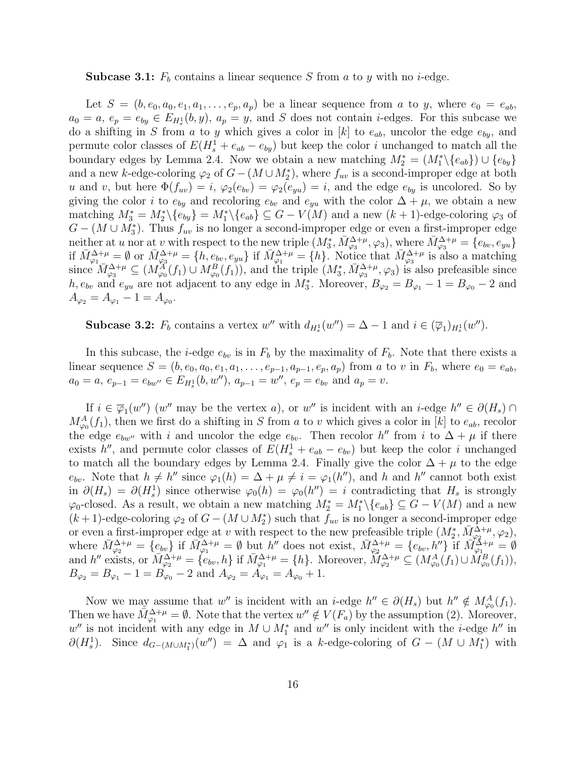#### **Subcase 3.1:**  $F_b$  contains a linear sequence S from a to y with no *i*-edge.

Let  $S = (b, e_0, a_0, e_1, a_1, \ldots, e_n, a_n)$  be a linear sequence from a to y, where  $e_0 = e_{ab}$ ,  $a_0 = a, e_p = e_{by} \in E_{H_s^1}(b, y), a_p = y$ , and S does not contain *i*-edges. For this subcase we do a shifting in S from a to y which gives a color in  $[k]$  to  $e_{ab}$ , uncolor the edge  $e_{by}$ , and permute color classes of  $E(H_s^1 + e_{ab} - e_{by})$  but keep the color i unchanged to match all the boundary edges by Lemma 2.4. Now we obtain a new matching  $M_2^* = (M_1^* \setminus \{e_{ab}\}) \cup \{e_{by}\}\$ and a new k-edge-coloring  $\varphi_2$  of  $G - (M \cup M_2^*)$ , where  $f_{uv}$  is a second-improper edge at both u and v, but here  $\Phi(f_{uv}) = i$ ,  $\varphi_2(e_{bv}) = \varphi_2(e_{yu}) = i$ , and the edge  $e_{by}$  is uncolored. So by giving the color *i* to  $e_{by}$  and recoloring  $e_{bv}$  and  $e_{yu}$  with the color  $\Delta + \mu$ , we obtain a new matching  $M_3^* = M_2^* \setminus \{e_{by}\} = M_1^* \setminus \{e_{ab}\} \subseteq G - V(M)$  and a new  $(k+1)$ -edge-coloring  $\varphi_3$  of  $G - (M \cup M_3^*)$ . Thus  $f_{uv}$  is no longer a second-improper edge or even a first-improper edge neither at u nor at v with respect to the new triple  $(M_3^*, \bar{M}_{\varphi_3}^{\Delta+\mu}, \varphi_3)$ , where  $\bar{M}_{\varphi_3}^{\Delta+\mu} = \{e_{bv}, e_{yu}\}\$ if  $\bar{M}^{\Delta+\mu}_{\varphi_1}=\emptyset$  or  $\bar{M}^{\Delta+\mu}_{\varphi_3}=\{h, e_{bv}, e_{yu}\}\$  if  $\bar{M}^{\Delta+\mu}_{\varphi_1}=\{h\}$ . Notice that  $\bar{M}^{\Delta+\mu}_{\varphi_3}$  is also a matching since  $\overline{M}_{\varphi_3}^{\Delta+\mu} \subseteq (M_{\varphi_0}^{\overline{A}}(f_1) \cup M_{\varphi_0}^B(f_1)),$  and the triple  $(M_3^*, \overline{M}_{\varphi_3}^{\Delta+\mu}, \varphi_3)$  is also prefeasible since h,  $e_{bv}$  and  $e_{yu}$  are not adjacent to any edge in  $M_3^*$ . Moreover,  $B_{\varphi_2} = B_{\varphi_1} - 1 = B_{\varphi_0} - 2$  and  $A_{\varphi_2} = A_{\varphi_1} - 1 = A_{\varphi_0}.$ 

**Subcase 3.2:**  $F_b$  contains a vertex w'' with  $d_{H_s^1}(w'') = \Delta - 1$  and  $i \in (\overline{\varphi}_1)_{H_s^1}(w'')$ .

In this subcase, the *i*-edge  $e_{bv}$  is in  $F_b$  by the maximality of  $F_b$ . Note that there exists a linear sequence  $S = (b, e_0, a_0, e_1, a_1, \ldots, e_{p-1}, a_{p-1}, e_p, a_p)$  from a to v in  $F_b$ , where  $e_0 = e_{ab}$ ,  $a_0 = a, e_{p-1} = e_{bw''} \in E_{H_s^1}(b, w''), a_{p-1} = w'', e_p = e_{bv} \text{ and } a_p = v.$ 

If  $i \in \overline{\varphi}_1(w'')$  (w'' may be the vertex a), or w'' is incident with an *i*-edge  $h'' \in \partial(H_s) \cap$  $M_{\varphi_0}^A(f_1)$ , then we first do a shifting in S from a to v which gives a color in [k] to  $e_{ab}$ , recolor the edge  $e_{bw}$  with i and uncolor the edge  $e_{bv}$ . Then recolor h'' from i to  $\Delta + \mu$  if there exists h'', and permute color classes of  $E(H_s^1 + e_{ab} - e_{bv})$  but keep the color i unchanged to match all the boundary edges by Lemma 2.4. Finally give the color  $\Delta + \mu$  to the edge  $e_{bv}$ . Note that  $h \neq h''$  since  $\varphi_1(h) = \Delta + \mu \neq i = \varphi_1(h'')$ , and h and h'' cannot both exist in  $\partial(H_s) = \partial(H_s^1)$  since otherwise  $\varphi_0(h) = \varphi_0(h'') = i$  contradicting that  $H_s$  is strongly  $\varphi_0$ -closed. As a result, we obtain a new matching  $M_2^* = M_1^* \setminus \{e_{ab}\} \subseteq G - V(M)$  and a new  $(k+1)$ -edge-coloring  $\varphi_2$  of  $G - (M \cup M_2^*)$  such that  $f_{uv}$  is no longer a second-improper edge or even a first-improper edge at v with respect to the new prefeasible triple  $(M_2^*, \overline{M}_{\varphi_2}^{\Delta+\mu}, \varphi_2)$ , where  $\bar{M}^{\Delta+\mu}_{\varphi_2} = \{e_{bv}\}\$  if  $\bar{M}^{\Delta+\mu}_{\varphi_1} = \emptyset$  but  $h''$  does not exist,  $\bar{M}^{\Delta+\mu}_{\varphi_2} = \{e_{bv}, h''\}\$  if  $\bar{M}^{\Delta+\mu}_{\varphi_1} = \emptyset$ and h'' exists, or  $\overline{M}_{\varphi_2}^{\Delta+\mu} = \{e_{bv}, h\}$  if  $\overline{M}_{\varphi_1}^{\Delta+\mu} = \{h\}$ . Moreover,  $\overline{M}_{\varphi_2}^{\Delta+\mu} \subseteq (M_{\varphi_0}^A(f_1) \cup \overline{M}_{\varphi_0}^B(f_1)),$  $B_{\varphi_2} = B_{\varphi_1} - 1 = B_{\varphi_0} - 2$  and  $A_{\varphi_2} = A_{\varphi_1} = A_{\varphi_0} + 1$ .

Now we may assume that w'' is incident with an *i*-edge  $h'' \in \partial(H_s)$  but  $h'' \notin M^A_{\varphi_0}(f_1)$ . Then we have  $\tilde{M}_{\varphi_1}^{\Delta+\mu} = \emptyset$ . Note that the vertex  $w'' \notin V(F_a)$  by the assumption (2). Moreover,  $w''$  is not incident with any edge in  $M \cup M_1^*$  and  $w''$  is only incident with the *i*-edge  $h''$  in  $\partial(H_s^1)$ . Since  $d_{G-(M\cup M_1^*)}(w'') = \Delta$  and  $\varphi_1$  is a k-edge-coloring of  $G - (M \cup M_1^*)$  with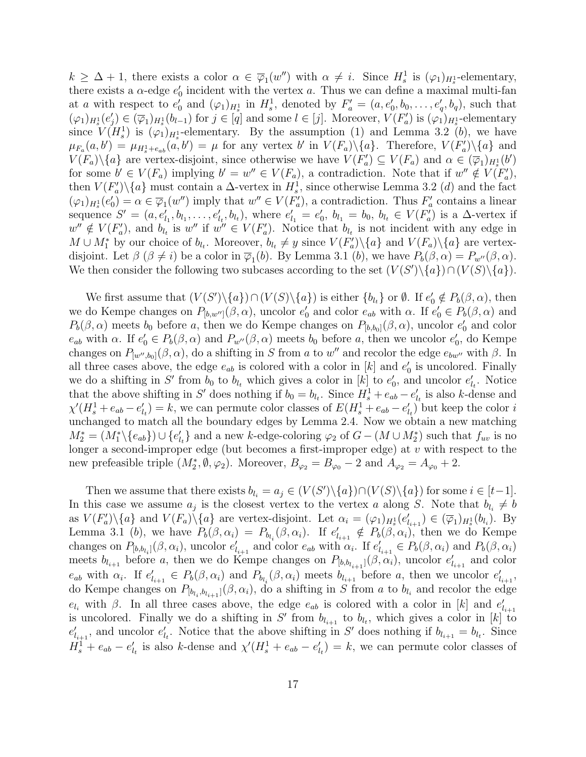$k \geq \Delta + 1$ , there exists a color  $\alpha \in \overline{\varphi}_1(w'')$  with  $\alpha \neq i$ . Since  $H_s^1$  is  $(\varphi_1)_{H_s^1}$ -elementary, there exists a  $\alpha$ -edge  $e'_0$  incident with the vertex a. Thus we can define a maximal multi-fan at a with respect to  $e'_0$  and  $(\varphi_1)_{H_s^1}$  in  $H_s^1$ , denoted by  $F'_a = (a, e'_0, b_0, \ldots, e'_q, b_q)$ , such that  $(\varphi_1)_{H_s^1}(e'_j) \in (\overline{\varphi}_1)_{H_s^1}(b_{l-1})$  for  $j \in [\varphi]$  and some  $l \in [j]$ . Moreover,  $V(F'_a)$  is  $(\varphi_1)_{H_s^1}$ -elementary since  $V(H_s^1)$  is  $(\varphi_1)_{H_s^1}$ -elementary. By the assumption (1) and Lemma 3.2 (b), we have  $\mu_{F_a}(a, b') = \mu_{H_s^1 + e_{ab}}(a, b') = \mu$  for any vertex b' in  $V(F_a)\setminus\{a\}$ . Therefore,  $V(F'_a)\setminus\{a\}$  and  $V(F_a)\setminus\{a\}$  are vertex-disjoint, since otherwise we have  $V(F'_a) \subseteq V(F_a)$  and  $\alpha \in (\overline{\varphi}_1)_{H_s^1}(b')$ for some  $b' \in V(F_a)$  implying  $b' = w'' \in V(F_a)$ , a contradiction. Note that if  $w'' \notin V(F'_a)$ , then  $V(F'_a)\backslash\{a\}$  must contain a  $\Delta$ -vertex in  $H_s^1$ , since otherwise Lemma 3.2 (*d*) and the fact  $(\varphi_1)_{H_s} (e'_0) = \alpha \in \overline{\varphi}_1(w'')$  imply that  $w'' \in V(F'_a)$ , a contradiction. Thus  $F'_a$  contains a linear sequence  $S' = (a, e'_{l_1}, b_{l_1}, \ldots, e'_{l_t}, b_{l_t})$ , where  $e'_{l_1} = e'_{0}$ ,  $b_{l_1} = b_{0}$ ,  $b_{l_t} \in V(F'_{a})$  is a  $\Delta$ -vertex if  $w'' \notin V(F'_a)$ , and  $b_{l_t}$  is  $w''$  if  $w'' \in V(F'_a)$ . Notice that  $b_{l_t}$  is not incident with any edge in  $M \cup M_1^*$  by our choice of  $b_{l_t}$ . Moreover,  $b_{l_t} \neq y$  since  $V(F'_a)\setminus\{a\}$  and  $V(F_a)\setminus\{a\}$  are vertexdisjoint. Let  $\beta$  ( $\beta \neq i$ ) be a color in  $\overline{\varphi}_1(b)$ . By Lemma 3.1 (b), we have  $P_b(\beta, \alpha) = P_{w''}(\beta, \alpha)$ . We then consider the following two subcases according to the set  $(V(S')\backslash\{a\})\cap (V(S)\backslash\{a\}).$ 

We first assume that  $(V(S')\setminus\{a\})\cap (V(S)\setminus\{a\})$  is either  $\{b_{l_t}\}$  or  $\emptyset$ . If  $e'_0 \notin P_b(\beta,\alpha)$ , then we do Kempe changes on  $P_{[b,w']}(\beta,\alpha)$ , uncolor  $e'_0$  and color  $e_{ab}$  with  $\alpha$ . If  $e'_0 \in P_b(\beta,\alpha)$  and  $P_b(\beta,\alpha)$  meets  $b_0$  before a, then we do Kempe changes on  $P_{[b,b_0]}(\beta,\alpha)$ , uncolor  $e'_0$  and color  $e_{ab}$  with  $\alpha$ . If  $e'_0 \in P_b(\beta, \alpha)$  and  $P_{w''}(\beta, \alpha)$  meets  $b_0$  before a, then we uncolor  $e'_0$ , do Kempe changes on  $P_{[w'',b_0]}(\beta,\alpha)$ , do a shifting in S from a to w'' and recolor the edge  $e_{bw''}$  with  $\beta$ . In all three cases above, the edge  $e_{ab}$  is colored with a color in [k] and  $e'_{0}$  is uncolored. Finally we do a shifting in S' from  $b_0$  to  $b_{l_t}$  which gives a color in [k] to  $e'_0$ , and uncolor  $e'_{l_t}$ . Notice that the above shifting in S' does nothing if  $b_0 = b_l$ . Since  $H_s^1 + e_{ab} - e'_{l_t}$  is also k-dense and  $\chi'(H_s^1 + e_{ab} - e'_{l_t}) = k$ , we can permute color classes of  $E(H_s^1 + e_{ab} - e'_{l_t})$  but keep the color i unchanged to match all the boundary edges by Lemma 2.4. Now we obtain a new matching  $M_2^* = (M_1^* \setminus \{e_{ab}\}) \cup \{e'_{l_t}\}\$ and a new k-edge-coloring  $\varphi_2$  of  $G - (M \cup M_2^*)$  such that  $f_{uv}$  is no longer a second-improper edge (but becomes a first-improper edge) at v with respect to the new prefeasible triple  $(M_2^*, \emptyset, \varphi_2)$ . Moreover,  $B_{\varphi_2} = B_{\varphi_0} - 2$  and  $A_{\varphi_2} = A_{\varphi_0} + 2$ .

Then we assume that there exists  $b_{l_i} = a_j \in (V(S') \setminus \{a\}) \cap (V(S) \setminus \{a\})$  for some  $i \in [t-1]$ . In this case we assume  $a_j$  is the closest vertex to the vertex a along S. Note that  $b_{l_i} \neq b$ as  $V(F'_a)\setminus\{a\}$  and  $V(F_a)\setminus\{a\}$  are vertex-disjoint. Let  $\alpha_i = (\varphi_1)_{H_s^1}(e'_{i+1}) \in (\overline{\varphi}_1)_{H_s^1}(b_{i})$ . By Lemma 3.1 (b), we have  $P_b(\beta,\alpha_i) = P_{b_{l_i}}(\beta,\alpha_i)$ . If  $e'_{l_{i+1}} \notin P_b(\beta,\alpha_i)$ , then we do Kempe changes on  $P_{[b,b_{l_i}]}(\beta,\alpha_i)$ , uncolor  $e'_{l_{i+1}}$  and color  $e_{ab}$  with  $\alpha_i$ . If  $e'_{l_{i+1}} \in P_b(\beta,\alpha_i)$  and  $P_b(\beta,\alpha_i)$ meets  $b_{l_{i+1}}$  before a, then we do Kempe changes on  $P_{[b,b_{l_{i+1}}]}(\beta, \alpha_i)$ , uncolor  $e'_{l_{i+1}}$  and color  $e_{ab}$  with  $\alpha_i$ . If  $e'_{l_{i+1}} \in P_b(\beta, \alpha_i)$  and  $P_{b_{l_i}}(\beta, \alpha_i)$  meets  $b_{l_{i+1}}$  before a, then we uncolor  $e'_{l_{i+1}}$ , do Kempe changes on  $P_{[b_{l_i},b_{l_{i+1}}]}(\beta,\alpha_i)$ , do a shifting in S from a to  $b_{l_i}$  and recolor the edge  $e_{l_i}$  with  $\beta$ . In all three cases above, the edge  $e_{ab}$  is colored with a color in [k] and  $e'_{l_{i+1}}$ is uncolored. Finally we do a shifting in S' from  $b_{l_{i+1}}$  to  $b_{l_t}$ , which gives a color in [k] to  $e'_{l_{i+1}}$ , and uncolor  $e'_{l_i}$ . Notice that the above shifting in S' does nothing if  $b_{l_{i+1}} = b_{l_i}$ . Since  $H_s^1 + e_{ab} - e'_{l_t}$  is also k-dense and  $\chi'(H_s^1 + e_{ab} - e'_{l_t}) = k$ , we can permute color classes of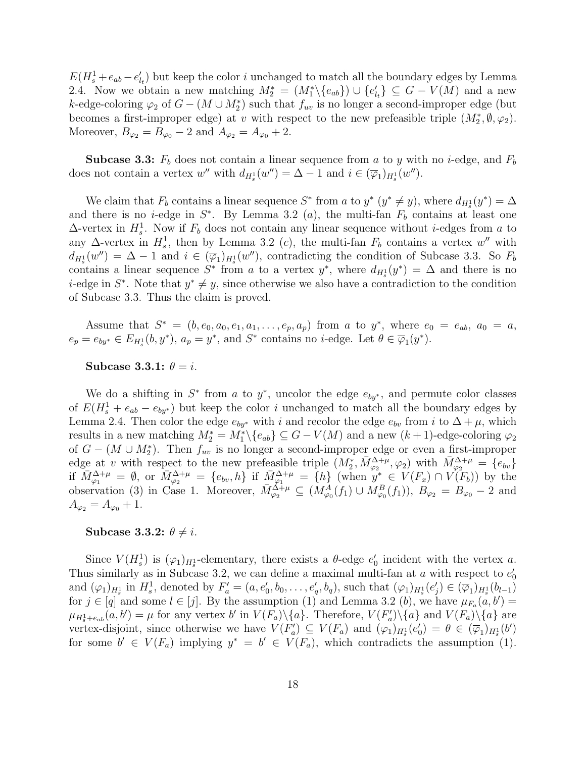$E(H_s^1 + e_{ab} - e'_{l_t})$  but keep the color i unchanged to match all the boundary edges by Lemma 2.4. Now we obtain a new matching  $M_2^* = (M_1^* \setminus \{e_{ab}\}) \cup \{e'_{l_t}\} \subseteq G - V(M)$  and a new k-edge-coloring  $\varphi_2$  of  $G - (M \cup M_2^*)$  such that  $f_{uv}$  is no longer a second-improper edge (but becomes a first-improper edge) at v with respect to the new prefeasible triple  $(M_2^*, \emptyset, \varphi_2)$ . Moreover,  $B_{\varphi_2} = B_{\varphi_0} - 2$  and  $A_{\varphi_2} = A_{\varphi_0} + 2$ .

**Subcase 3.3:**  $F_b$  does not contain a linear sequence from a to y with no i-edge, and  $F_b$ does not contain a vertex w'' with  $d_{H_s^1}(w'') = \Delta - 1$  and  $i \in (\overline{\varphi}_1)_{H_s^1}(w'')$ .

We claim that  $F_b$  contains a linear sequence  $S^*$  from a to  $y^*$   $(y^* \neq y)$ , where  $d_{H_s^1}(y^*) = \Delta$ and there is no *i*-edge in  $S^*$ . By Lemma 3.2 (*a*), the multi-fan  $F_b$  contains at least one  $\Delta$ -vertex in  $H_s^1$ . Now if  $F_b$  does not contain any linear sequence without *i*-edges from a to any  $\Delta$ -vertex in  $H_s^1$ , then by Lemma 3.2 (c), the multi-fan  $F_b$  contains a vertex w'' with  $d_{H_s} (w'') = \Delta - 1$  and  $i \in (\overline{\varphi}_1)_{H_s} (w'')$ , contradicting the condition of Subcase 3.3. So  $F_b$ contains a linear sequence  $S^*$  from a to a vertex  $y^*$ , where  $d_{H_s^1}(y^*) = \Delta$  and there is no *i*-edge in  $S^*$ . Note that  $y^* \neq y$ , since otherwise we also have a contradiction to the condition of Subcase 3.3. Thus the claim is proved.

Assume that  $S^* = (b, e_0, a_0, e_1, a_1, \ldots, e_p, a_p)$  from a to  $y^*$ , where  $e_0 = e_{ab}$ ,  $a_0 = a$ ,  $e_p = e_{by^*} \in E_{H_s^1}(b, y^*), a_p = y^*$ , and  $S^*$  contains no *i*-edge. Let  $\theta \in \overline{\varphi}_1(y^*)$ .

Subcase 3.3.1:  $\theta = i$ .

We do a shifting in  $S^*$  from a to  $y^*$ , uncolor the edge  $e_{by^*}$ , and permute color classes of  $E(H_s^1 + e_{ab} - e_{by^*})$  but keep the color i unchanged to match all the boundary edges by Lemma 2.4. Then color the edge  $e_{by*}$  with i and recolor the edge  $e_{bv}$  from i to  $\Delta + \mu$ , which results in a new matching  $M_2^* = M_1^* \setminus \{e_{ab}\} \subseteq G - V(M)$  and a new  $(k+1)$ -edge-coloring  $\varphi_2$ of  $G - (M \cup M_2^*)$ . Then  $f_{uv}$  is no longer a second-improper edge or even a first-improper edge at v with respect to the new prefeasible triple  $(M_2^*, \bar{M}_{\varphi_2}^{\Delta+\mu}, \varphi_2)$  with  $\bar{M}_{\varphi_2}^{\Delta+\mu} = \{e_{bv}\}$ if  $\overline{M}_{\varphi_1}^{\Delta+\mu} = \emptyset$ , or  $\overline{M}_{\varphi_2}^{\Delta+\mu} = \{e_{bv}, h\}$  if  $\overline{M}_{\varphi_1}^{\Delta+\mu} = \{h\}$  (when  $y^* \in V(F_x) \cap V(F_b)$ ) by the observation (3) in Case 1. Moreover,  $\bar{M}^{\Delta+\mu}_{\varphi_2} \subseteq (M^A_{\varphi_0}(f_1) \cup M^B_{\varphi_0}(f_1)), B_{\varphi_2} = B_{\varphi_0} - 2$  and  $A_{\varphi_2} = A_{\varphi_0} + 1.$ 

#### Subcase 3.3.2:  $\theta \neq i$ .

Since  $V(H_s^1)$  is  $(\varphi_1)_{H_s^1}$ -elementary, there exists a  $\theta$ -edge  $e'_0$  incident with the vertex a. Thus similarly as in Subcase 3.2, we can define a maximal multi-fan at a with respect to  $e'_0$ and  $(\varphi_1)_{H_s^1}$  in  $H_s^1$ , denoted by  $F_a' = (a, e_0', b_0, \ldots, e_q', b_q)$ , such that  $(\varphi_1)_{H_s^1}(e_j') \in (\overline{\varphi}_1)_{H_s^1}(b_{l-1})$ for  $j \in [q]$  and some  $l \in [j]$ . By the assumption (1) and Lemma 3.2 (b), we have  $\mu_{F_a}(a, b') =$  $\mu_{H_s^1+e_{ab}}(a,b') = \mu$  for any vertex b' in  $V(F_a)\setminus\{a\}$ . Therefore,  $V(F'_a)\setminus\{a\}$  and  $V(F_a)\setminus\{a\}$  are vertex-disjoint, since otherwise we have  $V(F'_a) \subseteq V(F_a)$  and  $(\varphi_1)_{H_s^1}(e'_0) = \theta \in (\overline{\varphi}_1)_{H_s^1}(b')$ for some  $b' \in V(F_a)$  implying  $y^* = b' \in V(F_a)$ , which contradicts the assumption (1).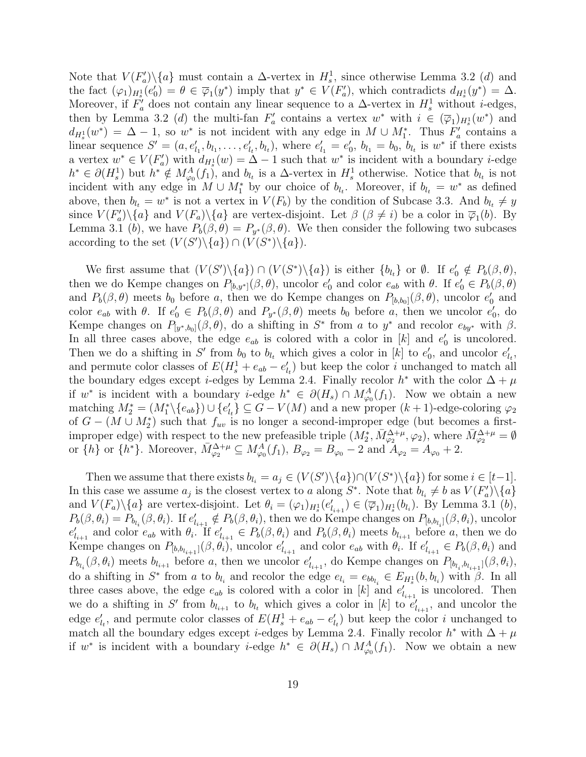Note that  $V(F'_a)\setminus\{a\}$  must contain a  $\Delta$ -vertex in  $H_s^1$ , since otherwise Lemma 3.2 (d) and the fact  $(\varphi_1)_{H_s^1}(e'_0) = \theta \in \overline{\varphi}_1(y^*)$  imply that  $y^* \in V(F'_a)$ , which contradicts  $d_{H_s^1}(y^*) = \Delta$ . Moreover, if  $\overline{F'_a}$  does not contain any linear sequence to a  $\Delta$ -vertex in  $H_s^1$  without *i*-edges, then by Lemma 3.2 (d) the multi-fan  $F'_a$  contains a vertex  $w^*$  with  $i \in (\overline{\varphi}_1)_{H_s} (w^*)$  and  $d_{H_s^1}(w^*) = \Delta - 1$ , so w<sup>\*</sup> is not incident with any edge in  $M \cup M_1^*$ . Thus  $F_a'$  contains a linear sequence  $S' = (a, e'_{l_1}, b_{l_1}, \ldots, e'_{l_t}, b_{l_t})$ , where  $e'_{l_1} = e'_{0}$ ,  $b_{l_1} = b_0$ ,  $b_{l_t}$  is  $w^*$  if there exists a vertex  $w^* \in V(F'_a)$  with  $d_{H_s^1}(w) = \Delta - 1$  such that  $w^*$  is incident with a boundary *i*-edge  $h^* \in \partial(H_s^1)$  but  $h^* \notin M_{\varphi_0}^A(f_1)$ , and  $b_{l_t}$  is a  $\Delta$ -vertex in  $H_s^1$  otherwise. Notice that  $b_{l_t}$  is not incident with any edge in  $M \cup M_1^*$  by our choice of  $b_{l_t}$ . Moreover, if  $b_{l_t} = w^*$  as defined above, then  $b_{l_t} = w^*$  is not a vertex in  $V(F_b)$  by the condition of Subcase 3.3. And  $b_{l_t} \neq y$ since  $V(F'_a)\setminus\{a\}$  and  $V(F_a)\setminus\{a\}$  are vertex-disjoint. Let  $\beta$  ( $\beta \neq i$ ) be a color in  $\overline{\varphi}_1(b)$ . By Lemma 3.1 (b), we have  $P_b(\beta, \theta) = P_{y^*}(\beta, \theta)$ . We then consider the following two subcases according to the set  $(V(S')\backslash\{a\}) \cap (V(S^*)\backslash\{a\}).$ 

We first assume that  $(V(S')\backslash\{a\}) \cap (V(S^*)\backslash\{a\})$  is either  $\{b_{l_t}\}$  or  $\emptyset$ . If  $e'_0 \notin P_b(\beta, \theta)$ , then we do Kempe changes on  $P_{[b,y^*]}(\beta, \theta)$ , uncolor  $e'_0$  and color  $e_{ab}$  with  $\theta$ . If  $e'_0 \in P_b(\beta, \theta)$ and  $P_b(\beta, \theta)$  meets  $b_0$  before a, then we do Kempe changes on  $P_{[b,b_0]}(\beta, \theta)$ , uncolor  $e'_0$  and color  $e_{ab}$  with  $\theta$ . If  $e'_{0} \in P_{b}(\beta, \theta)$  and  $P_{y^{*}}(\beta, \theta)$  meets  $b_{0}$  before a, then we uncolor  $e'_{0}$ , do Kempe changes on  $P_{[y^*,b_0]}(\beta,\theta)$ , do a shifting in  $S^*$  from a to  $y^*$  and recolor  $e_{by^*}$  with  $\beta$ . In all three cases above, the edge  $e_{ab}$  is colored with a color in [k] and  $e'_{0}$  is uncolored. Then we do a shifting in S' from  $b_0$  to  $b_{l_t}$  which gives a color in [k] to  $e'_0$ , and uncolor  $e'_{l_t}$ , and permute color classes of  $E(H_s^1 + e_{ab} - e'_{l_t})$  but keep the color i unchanged to match all the boundary edges except *i*-edges by Lemma 2.4. Finally recolor  $h^*$  with the color  $\Delta + \mu$ if w<sup>\*</sup> is incident with a boundary *i*-edge  $h^* \in \partial(H_s) \cap M_{\varphi_0}^A(f_1)$ . Now we obtain a new matching  $M_2^* = (M_1^* \setminus \{e_{ab}\}) \cup \{e'_{l_t}\} \subseteq G - V(M)$  and a new proper  $(k+1)$ -edge-coloring  $\varphi_2$ of  $G - (M \cup M_2^*)$  such that  $f_{uv}$  is no longer a second-improper edge (but becomes a firstimproper edge) with respect to the new prefeasible triple  $(M_2^*, \bar{M}_{\varphi_2}^{\Delta+\mu}, \varphi_2)$ , where  $\bar{M}_{\varphi_2}^{\Delta+\mu} = \emptyset$ or  $\{h\}$  or  $\{h^*\}$ . Moreover,  $\bar{M}_{\varphi_2}^{\Delta+\mu} \subseteq M_{\varphi_0}^A(f_1), B_{\varphi_2} = B_{\varphi_0} - 2$  and  $A_{\varphi_2} = A_{\varphi_0} + 2$ .

Then we assume that there exists  $b_{l_i} = a_j \in (V(S') \setminus \{a\}) \cap (V(S^*) \setminus \{a\})$  for some  $i \in [t-1]$ . In this case we assume  $a_j$  is the closest vertex to a along  $S^*$ . Note that  $b_{l_i} \neq b$  as  $V(F'_a)\setminus\{a\}$ and  $V(F_a)\backslash\{a\}$  are vertex-disjoint. Let  $\theta_i = (\varphi_1)_{H_s^1}(e'_{i+1}) \in (\overline{\varphi}_1)_{H_s^1}(b_{i})$ . By Lemma 3.1 (b),  $P_b(\beta, \theta_i) = P_{b_{l_i}}(\beta, \theta_i)$ . If  $e'_{l_{i+1}} \notin P_b(\beta, \theta_i)$ , then we do Kempe changes on  $P_{[b, b_{l_i}]}(\beta, \theta_i)$ , uncolor  $e'_{l_{i+1}}$  and color  $e_{ab}$  with  $\theta_i$ . If  $e'_{l_{i+1}} \in P_b(\beta, \theta_i)$  and  $P_b(\beta, \theta_i)$  meets  $b_{l_{i+1}}$  before a, then we do Kempe changes on  $P_{[b,b_{l_{i+1}}]}(\beta, \theta_i)$ , uncolor  $e'_{l_{i+1}}$  and color  $e_{ab}$  with  $\theta_i$ . If  $e'_{l_{i+1}} \in P_b(\beta, \theta_i)$  and  $P_{b_{l_i}}(\beta, \theta_i)$  meets  $b_{l_{i+1}}$  before a, then we uncolor  $e'_{l_{i+1}}$ , do Kempe changes on  $P_{[b_{l_i}, b_{l_{i+1}}]}(\beta, \theta_i)$ , do a shifting in  $S^*$  from a to  $b_{l_i}$  and recolor the edge  $e_{l_i} = e_{bb_{l_i}} \in E_{H_s^1}(b, b_{l_i})$  with  $\beta$ . In all three cases above, the edge  $e_{ab}$  is colored with a color in [k] and  $e'_{l_{i+1}}$  is uncolored. Then we do a shifting in S' from  $b_{l_{i+1}}$  to  $b_{l_t}$  which gives a color in [k] to  $e'_{l_{i+1}}$ , and uncolor the edge  $e'_{l_t}$ , and permute color classes of  $E(H_s^1 + e_{ab} - e'_{l_t})$  but keep the color *i* unchanged to match all the boundary edges except *i*-edges by Lemma 2.4. Finally recolor  $h^*$  with  $\Delta + \mu$ if  $w^*$  is incident with a boundary *i*-edge  $h^* \in \partial(H_s) \cap M^A_{\varphi_0}(f_1)$ . Now we obtain a new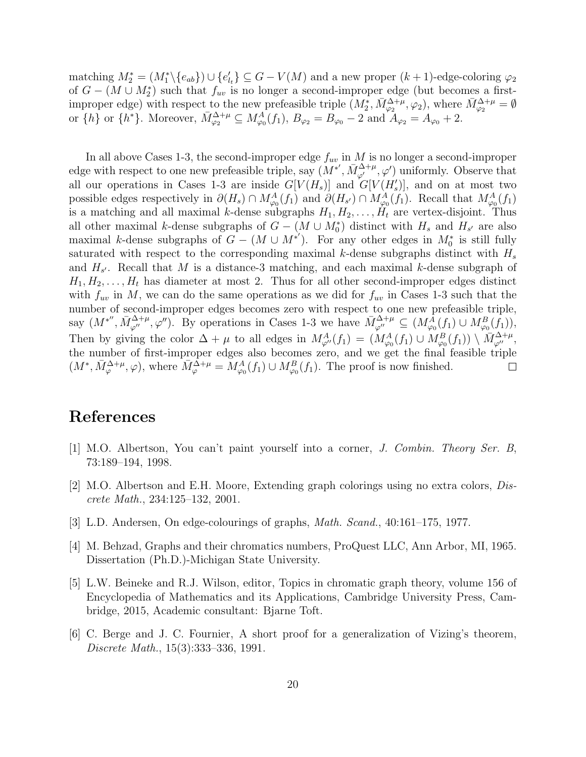matching  $M_2^* = (M_1^* \setminus \{e_{ab}\}) \cup \{e'_{l_t}\} \subseteq G - V(M)$  and a new proper  $(k+1)$ -edge-coloring  $\varphi_2$ of  $G - (M \cup M_2^*)$  such that  $f_{uv}$  is no longer a second-improper edge (but becomes a firstimproper edge) with respect to the new prefeasible triple  $(M_2^*, \bar{M}_{\varphi_2}^{\Delta+\mu}, \varphi_2)$ , where  $\bar{M}_{\varphi_2}^{\Delta+\mu} = \emptyset$ or  $\{h\}$  or  $\{h^*\}$ . Moreover,  $\bar{M}_{\varphi_2}^{\Delta+\mu} \subseteq M_{\varphi_0}^A(f_1), B_{\varphi_2} = B_{\varphi_0} - 2$  and  $A_{\varphi_2} = A_{\varphi_0} + 2$ .

In all above Cases 1-3, the second-improper edge  $f_{uv}$  in M is no longer a second-improper edge with respect to one new prefeasible triple, say  $(M^*, \bar{M}_{\varphi'}^{\Delta+\mu}, \varphi')$  uniformly. Observe that all our operations in Cases 1-3 are inside  $G[V(H_s)]$  and  $G[V(H'_s)]$ , and on at most two possible edges respectively in  $\partial(H_s) \cap M_{\varphi_0}^A(f_1)$  and  $\partial(H_{s'}) \cap M_{\varphi_0}^A(f_1)$ . Recall that  $M_{\varphi_0}^A(f_1)$ is a matching and all maximal k-dense subgraphs  $H_1, H_2, \ldots, H_t$  are vertex-disjoint. Thus all other maximal k-dense subgraphs of  $G - (M \cup M_0^*)$  distinct with  $H_s$  and  $H_{s'}$  are also maximal k-dense subgraphs of  $G - (M \cup M^{*'})$ . For any other edges in  $M_0^*$  is still fully saturated with respect to the corresponding maximal k-dense subgraphs distinct with  $H_s$ and  $H_{s'}$ . Recall that M is a distance-3 matching, and each maximal k-dense subgraph of  $H_1, H_2, \ldots, H_t$  has diameter at most 2. Thus for all other second-improper edges distinct with  $f_{uv}$  in M, we can do the same operations as we did for  $f_{uv}$  in Cases 1-3 such that the number of second-improper edges becomes zero with respect to one new prefeasible triple, say  $(M^{*''}, \bar{M}_{\varphi''}^{\Delta+\mu}, \varphi'')$ . By operations in Cases 1-3 we have  $\bar{M}_{\varphi''}^{\Delta+\mu} \subseteq (M_{\varphi_0}^{\bar{A}}(f_1) \cup M_{\varphi_0}^{\bar{B}}(f_1)),$ Then by giving the color  $\Delta + \mu$  to all edges in  $M_{\varphi}^A(f_1) = (M_{\varphi_0}^A(f_1) \cup M_{\varphi_0}^B(f_1)) \setminus \overline{M}_{\varphi''}^{\Delta+\mu}$ , the number of first-improper edges also becomes zero, and we get the final feasible triple  $(M^*, \bar{M}_{\varphi}^{\Delta+\mu}, \varphi)$ , where  $\bar{M}_{\varphi}^{\Delta+\mu} = M_{\varphi_0}^A(f_1) \cup M_{\varphi_0}^B(f_1)$ . The proof is now finished.  $\Box$ 

### References

- [1] M.O. Albertson, You can't paint yourself into a corner, J. Combin. Theory Ser. B, 73:189–194, 1998.
- [2] M.O. Albertson and E.H. Moore, Extending graph colorings using no extra colors, Discrete Math., 234:125–132, 2001.
- [3] L.D. Andersen, On edge-colourings of graphs, Math. Scand., 40:161–175, 1977.
- [4] M. Behzad, Graphs and their chromatics numbers, ProQuest LLC, Ann Arbor, MI, 1965. Dissertation (Ph.D.)-Michigan State University.
- [5] L.W. Beineke and R.J. Wilson, editor, Topics in chromatic graph theory, volume 156 of Encyclopedia of Mathematics and its Applications, Cambridge University Press, Cambridge, 2015, Academic consultant: Bjarne Toft.
- [6] C. Berge and J. C. Fournier, A short proof for a generalization of Vizing's theorem, Discrete Math., 15(3):333–336, 1991.